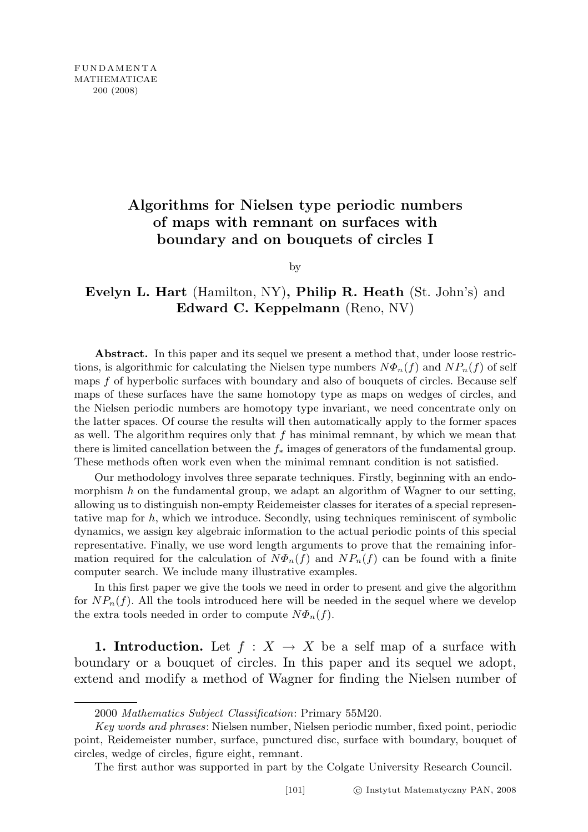## Algorithms for Nielsen type periodic numbers of maps with remnant on surfaces with boundary and on bouquets of circles I

by

## Evelyn L. Hart (Hamilton, NY), Philip R. Heath (St. John's) and Edward C. Keppelmann (Reno, NV)

Abstract. In this paper and its sequel we present a method that, under loose restrictions, is algorithmic for calculating the Nielsen type numbers  $N\Phi_n(f)$  and  $NP_n(f)$  of self maps f of hyperbolic surfaces with boundary and also of bouquets of circles. Because self maps of these surfaces have the same homotopy type as maps on wedges of circles, and the Nielsen periodic numbers are homotopy type invariant, we need concentrate only on the latter spaces. Of course the results will then automatically apply to the former spaces as well. The algorithm requires only that  $f$  has minimal remnant, by which we mean that there is limited cancellation between the  $f_*$  images of generators of the fundamental group. These methods often work even when the minimal remnant condition is not satisfied.

Our methodology involves three separate techniques. Firstly, beginning with an endomorphism  $h$  on the fundamental group, we adapt an algorithm of Wagner to our setting, allowing us to distinguish non-empty Reidemeister classes for iterates of a special representative map for  $h$ , which we introduce. Secondly, using techniques reminiscent of symbolic dynamics, we assign key algebraic information to the actual periodic points of this special representative. Finally, we use word length arguments to prove that the remaining information required for the calculation of  $N\Phi_n(f)$  and  $NP_n(f)$  can be found with a finite computer search. We include many illustrative examples.

In this first paper we give the tools we need in order to present and give the algorithm for  $NP_n(f)$ . All the tools introduced here will be needed in the sequel where we develop the extra tools needed in order to compute  $N\Phi_n(f)$ .

1. Introduction. Let  $f : X \to X$  be a self map of a surface with boundary or a bouquet of circles. In this paper and its sequel we adopt, extend and modify a method of Wagner for finding the Nielsen number of

The first author was supported in part by the Colgate University Research Council.

<sup>2000</sup> Mathematics Subject Classification: Primary 55M20.

Key words and phrases: Nielsen number, Nielsen periodic number, fixed point, periodic point, Reidemeister number, surface, punctured disc, surface with boundary, bouquet of circles, wedge of circles, figure eight, remnant.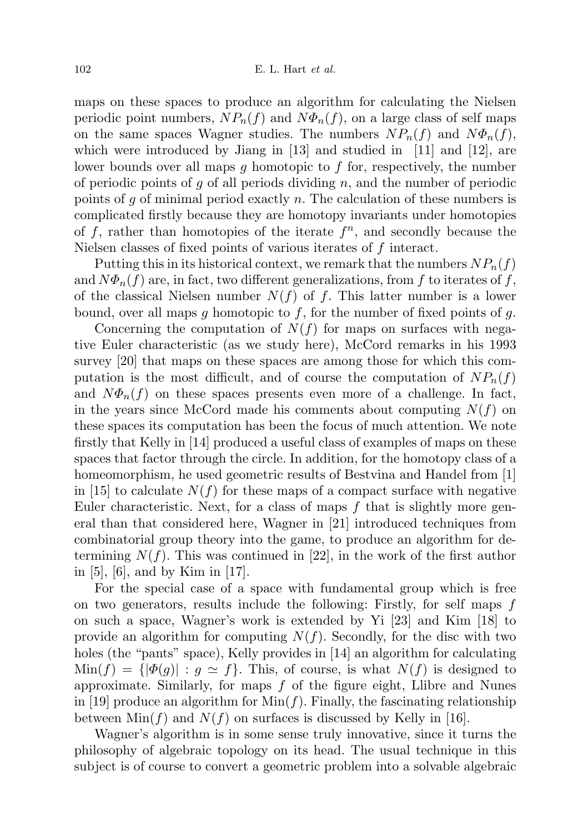maps on these spaces to produce an algorithm for calculating the Nielsen periodic point numbers,  $NP_n(f)$  and  $N\Phi_n(f)$ , on a large class of self maps on the same spaces Wagner studies. The numbers  $NP_n(f)$  and  $N\Phi_n(f)$ , which were introduced by Jiang in  $[13]$  and studied in  $[11]$  and  $[12]$ , are lower bounds over all maps g homotopic to f for, respectively, the number of periodic points of g of all periods dividing  $n$ , and the number of periodic points of g of minimal period exactly n. The calculation of these numbers is complicated firstly because they are homotopy invariants under homotopies of f, rather than homotopies of the iterate  $f^n$ , and secondly because the Nielsen classes of fixed points of various iterates of f interact.

Putting this in its historical context, we remark that the numbers  $NP_n(f)$ and  $N\Phi_n(f)$  are, in fact, two different generalizations, from f to iterates of f, of the classical Nielsen number  $N(f)$  of f. This latter number is a lower bound, over all maps g homotopic to f, for the number of fixed points of g.

Concerning the computation of  $N(f)$  for maps on surfaces with negative Euler characteristic (as we study here), McCord remarks in his 1993 survey [20] that maps on these spaces are among those for which this computation is the most difficult, and of course the computation of  $NP_n(f)$ and  $N\Phi_n(f)$  on these spaces presents even more of a challenge. In fact, in the years since McCord made his comments about computing  $N(f)$  on these spaces its computation has been the focus of much attention. We note firstly that Kelly in [14] produced a useful class of examples of maps on these spaces that factor through the circle. In addition, for the homotopy class of a homeomorphism, he used geometric results of Bestvina and Handel from [1] in [15] to calculate  $N(f)$  for these maps of a compact surface with negative Euler characteristic. Next, for a class of maps  $f$  that is slightly more general than that considered here, Wagner in [21] introduced techniques from combinatorial group theory into the game, to produce an algorithm for determining  $N(f)$ . This was continued in [22], in the work of the first author in [5], [6], and by Kim in [17].

For the special case of a space with fundamental group which is free on two generators, results include the following: Firstly, for self maps f on such a space, Wagner's work is extended by Yi [23] and Kim [18] to provide an algorithm for computing  $N(f)$ . Secondly, for the disc with two holes (the "pants" space), Kelly provides in [14] an algorithm for calculating  $\text{Min}(f) = {\vert \phi(g) \vert : g \simeq f}.$  This, of course, is what  $N(f)$  is designed to approximate. Similarly, for maps  $f$  of the figure eight, Llibre and Nunes in [19] produce an algorithm for  $\text{Min}(f)$ . Finally, the fascinating relationship between  $\text{Min}(f)$  and  $N(f)$  on surfaces is discussed by Kelly in [16].

Wagner's algorithm is in some sense truly innovative, since it turns the philosophy of algebraic topology on its head. The usual technique in this subject is of course to convert a geometric problem into a solvable algebraic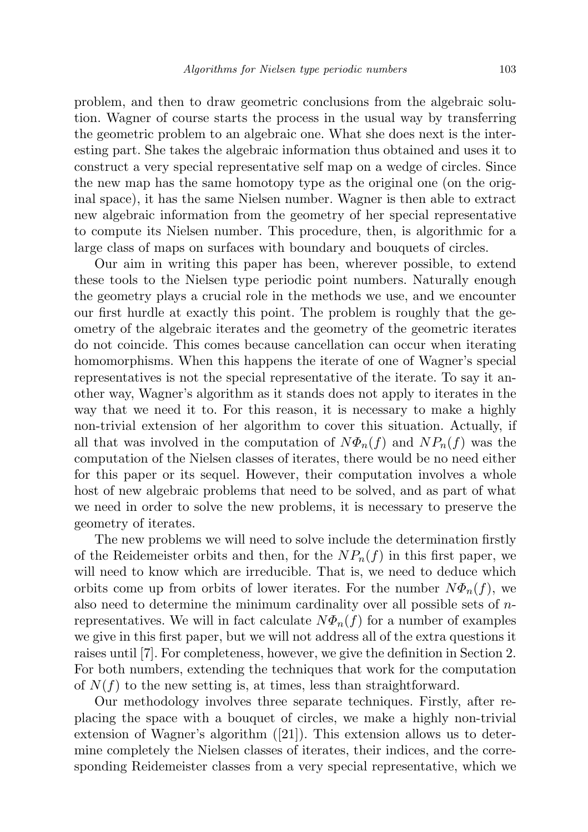problem, and then to draw geometric conclusions from the algebraic solution. Wagner of course starts the process in the usual way by transferring the geometric problem to an algebraic one. What she does next is the interesting part. She takes the algebraic information thus obtained and uses it to construct a very special representative self map on a wedge of circles. Since the new map has the same homotopy type as the original one (on the original space), it has the same Nielsen number. Wagner is then able to extract new algebraic information from the geometry of her special representative to compute its Nielsen number. This procedure, then, is algorithmic for a large class of maps on surfaces with boundary and bouquets of circles.

Our aim in writing this paper has been, wherever possible, to extend these tools to the Nielsen type periodic point numbers. Naturally enough the geometry plays a crucial role in the methods we use, and we encounter our first hurdle at exactly this point. The problem is roughly that the geometry of the algebraic iterates and the geometry of the geometric iterates do not coincide. This comes because cancellation can occur when iterating homomorphisms. When this happens the iterate of one of Wagner's special representatives is not the special representative of the iterate. To say it another way, Wagner's algorithm as it stands does not apply to iterates in the way that we need it to. For this reason, it is necessary to make a highly non-trivial extension of her algorithm to cover this situation. Actually, if all that was involved in the computation of  $N\Phi_n(f)$  and  $NP_n(f)$  was the computation of the Nielsen classes of iterates, there would be no need either for this paper or its sequel. However, their computation involves a whole host of new algebraic problems that need to be solved, and as part of what we need in order to solve the new problems, it is necessary to preserve the geometry of iterates.

The new problems we will need to solve include the determination firstly of the Reidemeister orbits and then, for the  $NP_n(f)$  in this first paper, we will need to know which are irreducible. That is, we need to deduce which orbits come up from orbits of lower iterates. For the number  $N\Phi_n(f)$ , we also need to determine the minimum cardinality over all possible sets of  $n$ representatives. We will in fact calculate  $N\Phi_n(f)$  for a number of examples we give in this first paper, but we will not address all of the extra questions it raises until [7]. For completeness, however, we give the definition in Section 2. For both numbers, extending the techniques that work for the computation of  $N(f)$  to the new setting is, at times, less than straightforward.

Our methodology involves three separate techniques. Firstly, after replacing the space with a bouquet of circles, we make a highly non-trivial extension of Wagner's algorithm ([21]). This extension allows us to determine completely the Nielsen classes of iterates, their indices, and the corresponding Reidemeister classes from a very special representative, which we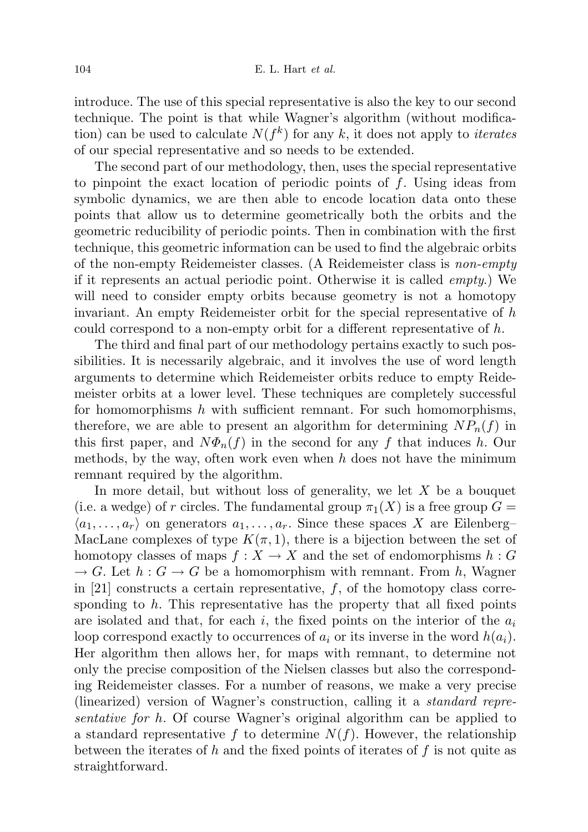introduce. The use of this special representative is also the key to our second technique. The point is that while Wagner's algorithm (without modification) can be used to calculate  $N(f^k)$  for any k, it does not apply to *iterates* of our special representative and so needs to be extended.

The second part of our methodology, then, uses the special representative to pinpoint the exact location of periodic points of  $f$ . Using ideas from symbolic dynamics, we are then able to encode location data onto these points that allow us to determine geometrically both the orbits and the geometric reducibility of periodic points. Then in combination with the first technique, this geometric information can be used to find the algebraic orbits of the non-empty Reidemeister classes. (A Reidemeister class is non-empty if it represents an actual periodic point. Otherwise it is called empty.) We will need to consider empty orbits because geometry is not a homotopy invariant. An empty Reidemeister orbit for the special representative of  $h$ could correspond to a non-empty orbit for a different representative of h.

The third and final part of our methodology pertains exactly to such possibilities. It is necessarily algebraic, and it involves the use of word length arguments to determine which Reidemeister orbits reduce to empty Reidemeister orbits at a lower level. These techniques are completely successful for homomorphisms  $h$  with sufficient remnant. For such homomorphisms, therefore, we are able to present an algorithm for determining  $NP_n(f)$  in this first paper, and  $N\Phi_n(f)$  in the second for any f that induces h. Our methods, by the way, often work even when  $h$  does not have the minimum remnant required by the algorithm.

In more detail, but without loss of generality, we let  $X$  be a bouquet (i.e. a wedge) of r circles. The fundamental group  $\pi_1(X)$  is a free group  $G =$  $\langle a_1, \ldots, a_r \rangle$  on generators  $a_1, \ldots, a_r$ . Since these spaces X are Eilenberg– MacLane complexes of type  $K(\pi, 1)$ , there is a bijection between the set of homotopy classes of maps  $f: X \to X$  and the set of endomorphisms  $h: G$  $\rightarrow G$ . Let  $h: G \rightarrow G$  be a homomorphism with remnant. From h, Wagner in [21] constructs a certain representative,  $f$ , of the homotopy class corresponding to  $h$ . This representative has the property that all fixed points are isolated and that, for each i, the fixed points on the interior of the  $a_i$ loop correspond exactly to occurrences of  $a_i$  or its inverse in the word  $h(a_i)$ . Her algorithm then allows her, for maps with remnant, to determine not only the precise composition of the Nielsen classes but also the corresponding Reidemeister classes. For a number of reasons, we make a very precise (linearized) version of Wagner's construction, calling it a standard representative for h. Of course Wagner's original algorithm can be applied to a standard representative f to determine  $N(f)$ . However, the relationship between the iterates of h and the fixed points of iterates of  $f$  is not quite as straightforward.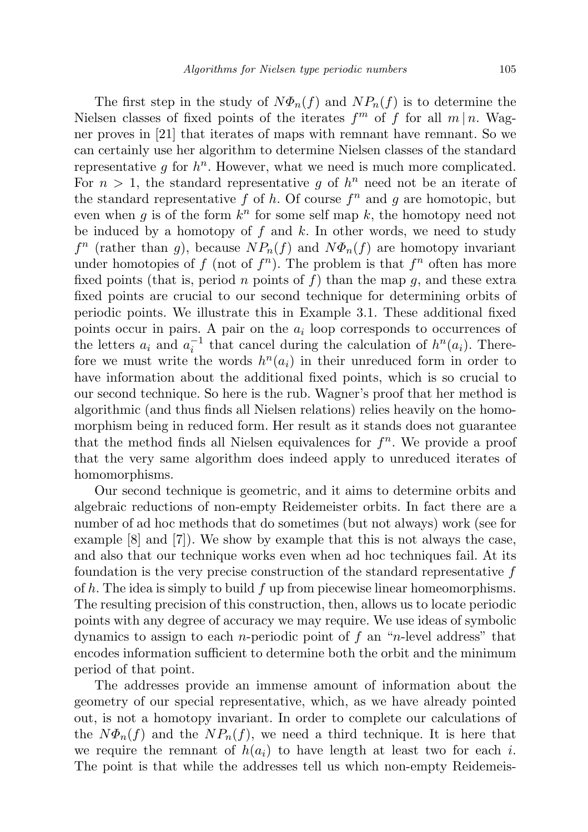The first step in the study of  $N\Phi_n(f)$  and  $NP_n(f)$  is to determine the Nielsen classes of fixed points of the iterates  $f^m$  of f for all  $m \mid n$ . Wagner proves in [21] that iterates of maps with remnant have remnant. So we can certainly use her algorithm to determine Nielsen classes of the standard representative  $g$  for  $h^n$ . However, what we need is much more complicated. For  $n > 1$ , the standard representative g of  $h^n$  need not be an iterate of the standard representative  $f$  of  $h$ . Of course  $f^n$  and  $g$  are homotopic, but even when g is of the form  $k^n$  for some self map k, the homotopy need not be induced by a homotopy of  $f$  and  $k$ . In other words, we need to study  $f^n$  (rather than g), because  $NP_n(f)$  and  $N\Phi_n(f)$  are homotopy invariant under homotopies of f (not of  $f^n$ ). The problem is that  $f^n$  often has more fixed points (that is, period n points of f) than the map  $q$ , and these extra fixed points are crucial to our second technique for determining orbits of periodic points. We illustrate this in Example 3.1. These additional fixed points occur in pairs. A pair on the  $a_i$  loop corresponds to occurrences of the letters  $a_i$  and  $a_i^{-1}$  that cancel during the calculation of  $h^n(a_i)$ . Therefore we must write the words  $h^n(a_i)$  in their unreduced form in order to have information about the additional fixed points, which is so crucial to our second technique. So here is the rub. Wagner's proof that her method is algorithmic (and thus finds all Nielsen relations) relies heavily on the homomorphism being in reduced form. Her result as it stands does not guarantee that the method finds all Nielsen equivalences for  $f^n$ . We provide a proof that the very same algorithm does indeed apply to unreduced iterates of homomorphisms.

Our second technique is geometric, and it aims to determine orbits and algebraic reductions of non-empty Reidemeister orbits. In fact there are a number of ad hoc methods that do sometimes (but not always) work (see for example  $[8]$  and  $[7]$ . We show by example that this is not always the case, and also that our technique works even when ad hoc techniques fail. At its foundation is the very precise construction of the standard representative  $f$ of  $h$ . The idea is simply to build  $f$  up from piecewise linear homeomorphisms. The resulting precision of this construction, then, allows us to locate periodic points with any degree of accuracy we may require. We use ideas of symbolic dynamics to assign to each *n*-periodic point of f an "*n*-level address" that encodes information sufficient to determine both the orbit and the minimum period of that point.

The addresses provide an immense amount of information about the geometry of our special representative, which, as we have already pointed out, is not a homotopy invariant. In order to complete our calculations of the  $N\Phi_n(f)$  and the  $NP_n(f)$ , we need a third technique. It is here that we require the remnant of  $h(a_i)$  to have length at least two for each i. The point is that while the addresses tell us which non-empty Reidemeis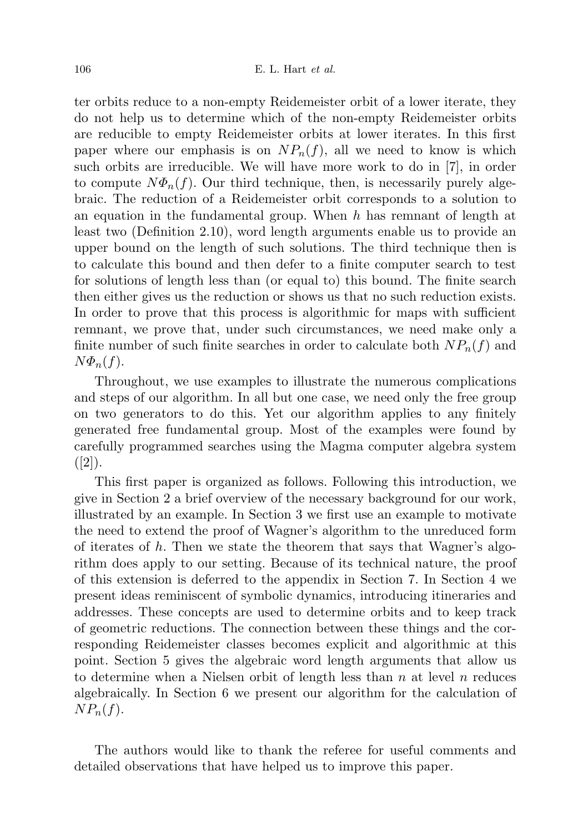ter orbits reduce to a non-empty Reidemeister orbit of a lower iterate, they do not help us to determine which of the non-empty Reidemeister orbits are reducible to empty Reidemeister orbits at lower iterates. In this first paper where our emphasis is on  $NP_n(f)$ , all we need to know is which such orbits are irreducible. We will have more work to do in [7], in order to compute  $N\Phi_n(f)$ . Our third technique, then, is necessarily purely algebraic. The reduction of a Reidemeister orbit corresponds to a solution to an equation in the fundamental group. When h has remnant of length at least two (Definition 2.10), word length arguments enable us to provide an upper bound on the length of such solutions. The third technique then is to calculate this bound and then defer to a finite computer search to test for solutions of length less than (or equal to) this bound. The finite search then either gives us the reduction or shows us that no such reduction exists. In order to prove that this process is algorithmic for maps with sufficient remnant, we prove that, under such circumstances, we need make only a finite number of such finite searches in order to calculate both  $NP_n(f)$  and  $N\Phi_n(f)$ .

Throughout, we use examples to illustrate the numerous complications and steps of our algorithm. In all but one case, we need only the free group on two generators to do this. Yet our algorithm applies to any finitely generated free fundamental group. Most of the examples were found by carefully programmed searches using the Magma computer algebra system  $([2])$ .

This first paper is organized as follows. Following this introduction, we give in Section 2 a brief overview of the necessary background for our work, illustrated by an example. In Section 3 we first use an example to motivate the need to extend the proof of Wagner's algorithm to the unreduced form of iterates of  $h$ . Then we state the theorem that says that Wagner's algorithm does apply to our setting. Because of its technical nature, the proof of this extension is deferred to the appendix in Section 7. In Section 4 we present ideas reminiscent of symbolic dynamics, introducing itineraries and addresses. These concepts are used to determine orbits and to keep track of geometric reductions. The connection between these things and the corresponding Reidemeister classes becomes explicit and algorithmic at this point. Section 5 gives the algebraic word length arguments that allow us to determine when a Nielsen orbit of length less than  $n$  at level  $n$  reduces algebraically. In Section 6 we present our algorithm for the calculation of  $NP_n(f)$ .

The authors would like to thank the referee for useful comments and detailed observations that have helped us to improve this paper.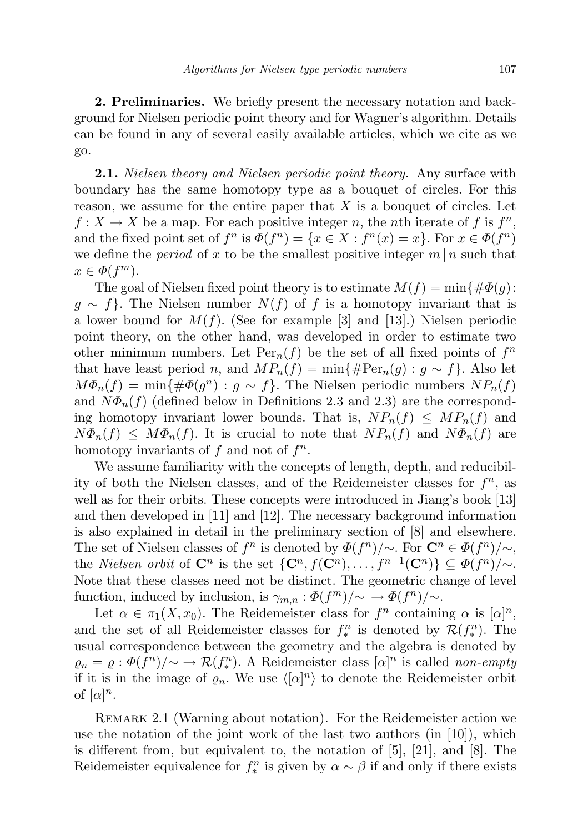2. Preliminaries. We briefly present the necessary notation and background for Nielsen periodic point theory and for Wagner's algorithm. Details can be found in any of several easily available articles, which we cite as we go.

**2.1.** Nielsen theory and Nielsen periodic point theory. Any surface with boundary has the same homotopy type as a bouquet of circles. For this reason, we assume for the entire paper that  $X$  is a bouquet of circles. Let  $f: X \to X$  be a map. For each positive integer n, the nth iterate of f is  $f^n$ , and the fixed point set of  $f^n$  is  $\Phi(f^n) = \{x \in X : f^n(x) = x\}$ . For  $x \in \Phi(f^n)$ we define the *period* of x to be the smallest positive integer  $m \mid n$  such that  $x \in \Phi(f^m)$ .

The goal of Nielsen fixed point theory is to estimate  $M(f) = \min\{\#\Phi(g):$  $g \sim f$ . The Nielsen number  $N(f)$  of f is a homotopy invariant that is a lower bound for  $M(f)$ . (See for example [3] and [13].) Nielsen periodic point theory, on the other hand, was developed in order to estimate two other minimum numbers. Let  $\text{Per}_n(f)$  be the set of all fixed points of  $f^n$ that have least period n, and  $MP_n(f) = \min\{\#Per_n(g) : g \sim f\}.$  Also let  $M\Phi_n(f) = \min\{\#\Phi(g^n) : g \sim f\}.$  The Nielsen periodic numbers  $NP_n(f)$ and  $N\Phi_n(f)$  (defined below in Definitions 2.3 and 2.3) are the corresponding homotopy invariant lower bounds. That is,  $NP_n(f) \leq MP_n(f)$  and  $N\Phi_n(f) \leq M\Phi_n(f)$ . It is crucial to note that  $NP_n(f)$  and  $N\Phi_n(f)$  are homotopy invariants of  $f$  and not of  $f^n$ .

We assume familiarity with the concepts of length, depth, and reducibility of both the Nielsen classes, and of the Reidemeister classes for  $f^n$ , as well as for their orbits. These concepts were introduced in Jiang's book [13] and then developed in [11] and [12]. The necessary background information is also explained in detail in the preliminary section of [8] and elsewhere. The set of Nielsen classes of  $f^n$  is denoted by  $\Phi(f^n)/\sim$ . For  $\mathbb{C}^n \in \Phi(f^n)/\sim$ , the *Nielsen orbit* of  $\mathbb{C}^n$  is the set  $\{\mathbb{C}^n, f(\mathbb{C}^n), \ldots, f^{n-1}(\mathbb{C}^n)\} \subseteq \Phi(f^n)/\sim$ . Note that these classes need not be distinct. The geometric change of level function, induced by inclusion, is  $\gamma_{m,n} : \Phi(f^m)/\sim \to \Phi(f^n)/\sim$ .

Let  $\alpha \in \pi_1(X, x_0)$ . The Reidemeister class for  $f^n$  containing  $\alpha$  is  $[\alpha]^n$ , and the set of all Reidemeister classes for  $f_*^n$  is denoted by  $\mathcal{R}(f_*^n)$ . The usual correspondence between the geometry and the algebra is denoted by  $\varrho_n = \varrho : \Phi(f^n)/\sim \to \mathcal{R}(f_*^n)$ . A Reidemeister class  $[\alpha]^n$  is called non-empty if it is in the image of  $\varrho_n$ . We use  $\langle [\alpha]^n \rangle$  to denote the Reidemeister orbit of  $[\alpha]^n$ .

REMARK 2.1 (Warning about notation). For the Reidemeister action we use the notation of the joint work of the last two authors  $(in [10])$ , which is different from, but equivalent to, the notation of [5], [21], and [8]. The Reidemeister equivalence for  $f_*^n$  is given by  $\alpha \sim \beta$  if and only if there exists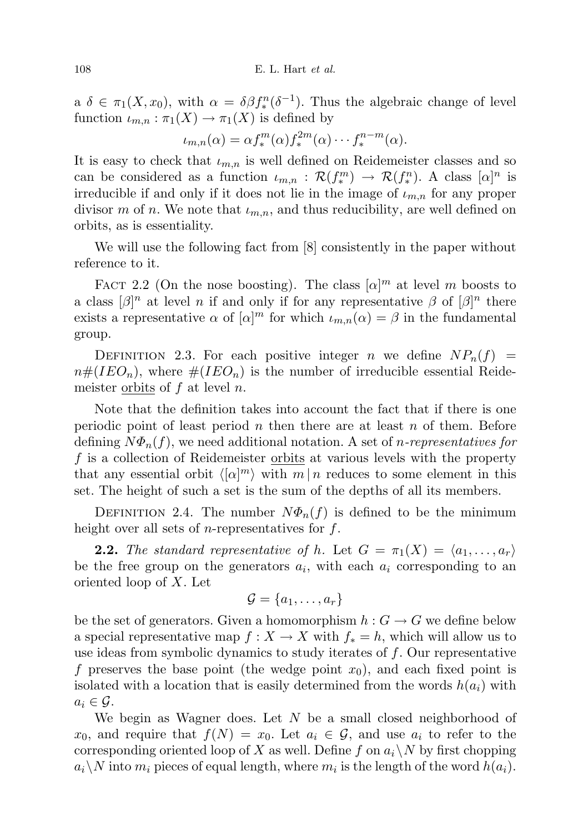a  $\delta \in \pi_1(X, x_0)$ , with  $\alpha = \delta \beta f_*^n(\delta^{-1})$ . Thus the algebraic change of level function  $\iota_{m,n} : \pi_1(X) \to \pi_1(X)$  is defined by

$$
\iota_{m,n}(\alpha) = \alpha f_*^m(\alpha) f_*^{2m}(\alpha) \cdots f_*^{n-m}(\alpha).
$$

It is easy to check that  $\iota_{m,n}$  is well defined on Reidemeister classes and so can be considered as a function  $\iota_{m,n} : \mathcal{R}(f_*^m) \to \mathcal{R}(f_*^n)$ . A class  $[\alpha]^n$  is irreducible if and only if it does not lie in the image of  $\iota_{m,n}$  for any proper divisor m of n. We note that  $\iota_{m,n}$ , and thus reducibility, are well defined on orbits, as is essentiality.

We will use the following fact from [8] consistently in the paper without reference to it.

FACT 2.2 (On the nose boosting). The class  $[\alpha]^m$  at level m boosts to a class  $[\beta]^n$  at level n if and only if for any representative  $\beta$  of  $[\beta]^n$  there exists a representative  $\alpha$  of  $[\alpha]^m$  for which  $\iota_{m,n}(\alpha) = \beta$  in the fundamental group.

DEFINITION 2.3. For each positive integer n we define  $NP_n(f)$  =  $n\#(IEO_n)$ , where  $\#(IEO_n)$  is the number of irreducible essential Reidemeister orbits of  $f$  at level  $n$ .

Note that the definition takes into account the fact that if there is one periodic point of least period n then there are at least n of them. Before defining  $N\Phi_n(f)$ , we need additional notation. A set of *n*-representatives for f is a collection of Reidemeister orbits at various levels with the property that any essential orbit  $\langle [\alpha]^m \rangle$  with  $m | n$  reduces to some element in this set. The height of such a set is the sum of the depths of all its members.

DEFINITION 2.4. The number  $N\Phi_n(f)$  is defined to be the minimum height over all sets of *n*-representatives for  $f$ .

**2.2.** The standard representative of h. Let  $G = \pi_1(X) = \langle a_1, \ldots, a_r \rangle$ be the free group on the generators  $a_i$ , with each  $a_i$  corresponding to an oriented loop of X. Let

$$
\mathcal{G} = \{a_1, \ldots, a_r\}
$$

be the set of generators. Given a homomorphism  $h : G \to G$  we define below a special representative map  $f: X \to X$  with  $f_* = h$ , which will allow us to use ideas from symbolic dynamics to study iterates of  $f$ . Our representative f preserves the base point (the wedge point  $x_0$ ), and each fixed point is isolated with a location that is easily determined from the words  $h(a_i)$  with  $a_i \in \mathcal{G}$ .

We begin as Wagner does. Let  $N$  be a small closed neighborhood of  $x_0$ , and require that  $f(N) = x_0$ . Let  $a_i \in \mathcal{G}$ , and use  $a_i$  to refer to the corresponding oriented loop of X as well. Define f on  $a_i \backslash N$  by first chopping  $a_i \backslash N$  into  $m_i$  pieces of equal length, where  $m_i$  is the length of the word  $h(a_i)$ .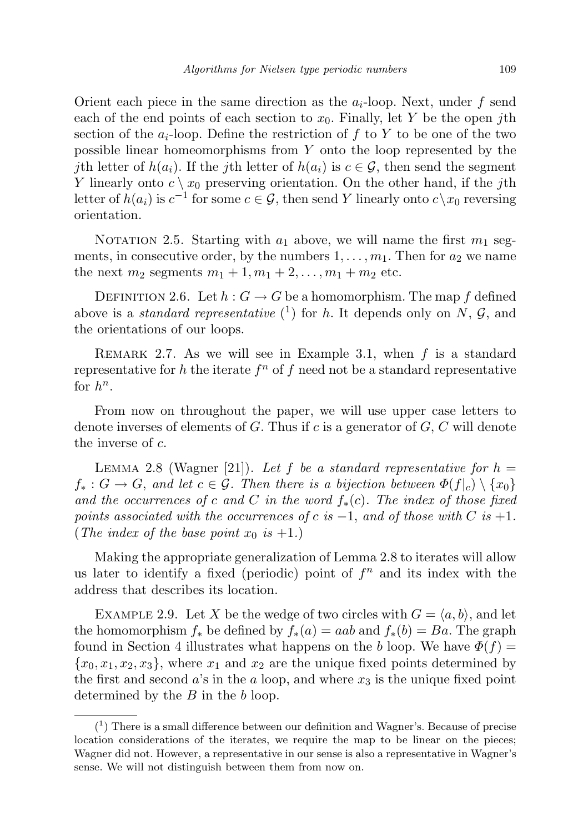Orient each piece in the same direction as the  $a_i$ -loop. Next, under f send each of the end points of each section to  $x_0$ . Finally, let Y be the open jth section of the  $a_i$ -loop. Define the restriction of f to Y to be one of the two possible linear homeomorphisms from Y onto the loop represented by the jth letter of  $h(a_i)$ . If the jth letter of  $h(a_i)$  is  $c \in \mathcal{G}$ , then send the segment Y linearly onto  $c \setminus x_0$  preserving orientation. On the other hand, if the jth letter of  $h(a_i)$  is  $c^{-1}$  for some  $c \in \mathcal{G}$ , then send Y linearly onto  $c \setminus x_0$  reversing orientation.

NOTATION 2.5. Starting with  $a_1$  above, we will name the first  $m_1$  segments, in consecutive order, by the numbers  $1, \ldots, m_1$ . Then for  $a_2$  we name the next  $m_2$  segments  $m_1 + 1, m_1 + 2, ..., m_1 + m_2$  etc.

DEFINITION 2.6. Let  $h: G \to G$  be a homomorphism. The map f defined above is a *standard representative*  $\binom{1}{k}$  for h. It depends only on N, G, and the orientations of our loops.

REMARK 2.7. As we will see in Example 3.1, when  $f$  is a standard representative for h the iterate  $f^n$  of f need not be a standard representative for  $h^n$ .

From now on throughout the paper, we will use upper case letters to denote inverses of elements of  $G$ . Thus if  $c$  is a generator of  $G$ ,  $C$  will denote the inverse of c.

LEMMA 2.8 (Wagner [21]). Let f be a standard representative for  $h =$  $f_*: G \to G$ , and let  $c \in \mathcal{G}$ . Then there is a bijection between  $\Phi(f|_c) \setminus \{x_0\}$ and the occurrences of c and C in the word  $f_*(c)$ . The index of those fixed points associated with the occurrences of c is  $-1$ , and of those with C is  $+1$ . (The index of the base point  $x_0$  is  $+1$ .)

Making the appropriate generalization of Lemma 2.8 to iterates will allow us later to identify a fixed (periodic) point of  $f<sup>n</sup>$  and its index with the address that describes its location.

EXAMPLE 2.9. Let X be the wedge of two circles with  $G = \langle a, b \rangle$ , and let the homomorphism  $f_*$  be defined by  $f_*(a) = aab$  and  $f_*(b) = Ba$ . The graph found in Section 4 illustrates what happens on the b loop. We have  $\Phi(f)$  =  ${x_0, x_1, x_2, x_3}$ , where  $x_1$  and  $x_2$  are the unique fixed points determined by the first and second  $a$ 's in the  $a$  loop, and where  $x_3$  is the unique fixed point determined by the  $B$  in the  $b$  loop.

 $(1)$  There is a small difference between our definition and Wagner's. Because of precise location considerations of the iterates, we require the map to be linear on the pieces; Wagner did not. However, a representative in our sense is also a representative in Wagner's sense. We will not distinguish between them from now on.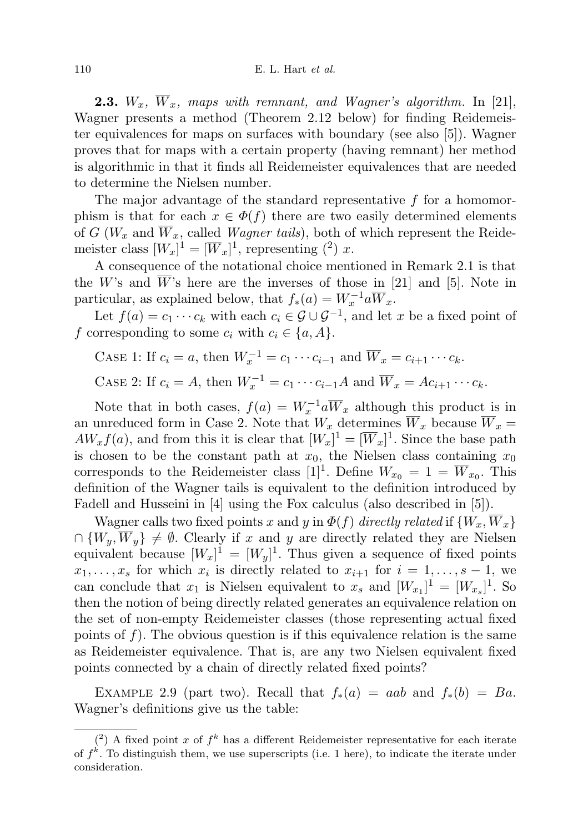**2.3.**  $W_x$ ,  $\overline{W}_x$ , maps with remnant, and Wagner's algorithm. In [21], Wagner presents a method (Theorem 2.12 below) for finding Reidemeister equivalences for maps on surfaces with boundary (see also [5]). Wagner proves that for maps with a certain property (having remnant) her method is algorithmic in that it finds all Reidemeister equivalences that are needed to determine the Nielsen number.

The major advantage of the standard representative f for a homomorphism is that for each  $x \in \Phi(f)$  there are two easily determined elements of G ( $W_x$  and  $\overline{W}_x$ , called *Wagner tails*), both of which represent the Reidemeister class  $[W_x]^1 = [\overline{W}_x]^1$ , representing (<sup>2</sup>) x.

A consequence of the notational choice mentioned in Remark 2.1 is that the W's and  $\overline{W}$ 's here are the inverses of those in [21] and [5]. Note in particular, as explained below, that  $f_*(a) = W_x^{-1} a \overline{W}_x$ .

Let  $f(a) = c_1 \cdots c_k$  with each  $c_i \in \mathcal{G} \cup \mathcal{G}^{-1}$ , and let x be a fixed point of f corresponding to some  $c_i$  with  $c_i \in \{a, A\}$ .

CASE 1: If  $c_i = a$ , then  $W_x^{-1} = c_1 \cdots c_{i-1}$  and  $\overline{W}_x = c_{i+1} \cdots c_k$ .

CASE 2: If  $c_i = A$ , then  $W_x^{-1} = c_1 \cdots c_{i-1} A$  and  $\overline{W}_x = Ac_{i+1} \cdots c_k$ .

Note that in both cases,  $f(a) = W_x^{-1}a\overline{W}_x$  although this product is in an unreduced form in Case 2. Note that  $W_x$  determines  $\overline{W}_x$  because  $\overline{W}_x$  =  $AW_x f(a)$ , and from this it is clear that  $[W_x]^1 = [\overline{W}_x]^1$ . Since the base path is chosen to be the constant path at  $x_0$ , the Nielsen class containing  $x_0$ corresponds to the Reidemeister class [1]<sup>1</sup>. Define  $W_{x_0} = 1 = \overline{W}_{x_0}$ . This definition of the Wagner tails is equivalent to the definition introduced by Fadell and Husseini in [4] using the Fox calculus (also described in [5]).

Wagner calls two fixed points x and y in  $\Phi(f)$  directly related if  $\{W_x, \overline{W}_x\}$  $\cap \{W_y, \overline{W}_y\} \neq \emptyset$ . Clearly if x and y are directly related they are Nielsen equivalent because  $[W_x]^1 = [W_y]^1$ . Thus given a sequence of fixed points  $x_1, \ldots, x_s$  for which  $x_i$  is directly related to  $x_{i+1}$  for  $i = 1, \ldots, s-1$ , we can conclude that  $x_1$  is Nielsen equivalent to  $x_s$  and  $[W_{x_1}]^1 = [W_{x_s}]^1$ . So then the notion of being directly related generates an equivalence relation on the set of non-empty Reidemeister classes (those representing actual fixed points of  $f$ ). The obvious question is if this equivalence relation is the same as Reidemeister equivalence. That is, are any two Nielsen equivalent fixed points connected by a chain of directly related fixed points?

EXAMPLE 2.9 (part two). Recall that  $f_*(a) = aab$  and  $f_*(b) = Ba$ . Wagner's definitions give us the table:

 $(2)$  A fixed point x of  $f^k$  has a different Reidemeister representative for each iterate of  $f^k$ . To distinguish them, we use superscripts (i.e. 1 here), to indicate the iterate under consideration.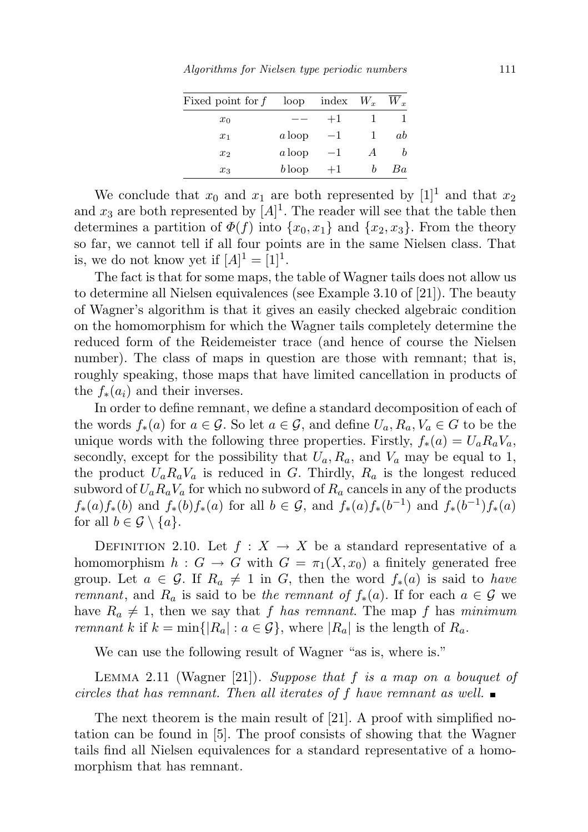Algorithms for Nielsen type periodic numbers 111

| Fixed point for $f$ | loop     | index $W_x$ | $W_{\mathcal{F}}$ |
|---------------------|----------|-------------|-------------------|
| $x_0$               |          | $+1$        |                   |
| $x_1$               | a loop   | -1          | ab                |
| $x_2$               | $a$ loop | -1          |                   |
| $x_3$               | $b$ loop | $+1$        | Ba                |

We conclude that  $x_0$  and  $x_1$  are both represented by  $[1]^1$  and that  $x_2$ and  $x_3$  are both represented by  $[A]^1$ . The reader will see that the table then determines a partition of  $\Phi(f)$  into  $\{x_0, x_1\}$  and  $\{x_2, x_3\}$ . From the theory so far, we cannot tell if all four points are in the same Nielsen class. That is, we do not know yet if  $[A]$ <sup>1</sup> =  $[1]$ <sup>1</sup>.

The fact is that for some maps, the table of Wagner tails does not allow us to determine all Nielsen equivalences (see Example 3.10 of [21]). The beauty of Wagner's algorithm is that it gives an easily checked algebraic condition on the homomorphism for which the Wagner tails completely determine the reduced form of the Reidemeister trace (and hence of course the Nielsen number). The class of maps in question are those with remnant; that is, roughly speaking, those maps that have limited cancellation in products of the  $f_*(a_i)$  and their inverses.

In order to define remnant, we define a standard decomposition of each of the words  $f_*(a)$  for  $a \in \mathcal{G}$ . So let  $a \in \mathcal{G}$ , and define  $U_a, R_a, V_a \in G$  to be the unique words with the following three properties. Firstly,  $f_*(a) = U_a R_a V_a$ , secondly, except for the possibility that  $U_a, R_a$ , and  $V_a$  may be equal to 1, the product  $U_a R_a V_a$  is reduced in G. Thirdly,  $R_a$  is the longest reduced subword of  $U_a R_a V_a$  for which no subword of  $R_a$  cancels in any of the products  $f_*(a) f_*(b)$  and  $f_*(b) f_*(a)$  for all  $b \in \mathcal{G}$ , and  $f_*(a) f_*(b^{-1})$  and  $f_*(b^{-1}) f_*(a)$ for all  $b \in \mathcal{G} \setminus \{a\}.$ 

DEFINITION 2.10. Let  $f: X \to X$  be a standard representative of a homomorphism  $h: G \to G$  with  $G = \pi_1(X, x_0)$  a finitely generated free group. Let  $a \in \mathcal{G}$ . If  $R_a \neq 1$  in G, then the word  $f_*(a)$  is said to have remnant, and R<sub>a</sub> is said to be the remnant of  $f_*(a)$ . If for each  $a \in \mathcal{G}$  we have  $R_a \neq 1$ , then we say that f has remnant. The map f has minimum *remnant k* if  $k = \min\{|R_a| : a \in \mathcal{G}\}$ , where  $|R_a|$  is the length of  $R_a$ .

We can use the following result of Wagner "as is, where is."

LEMMA 2.11 (Wagner [21]). Suppose that f is a map on a bouquet of circles that has remnant. Then all iterates of f have remnant as well.

The next theorem is the main result of [21]. A proof with simplified notation can be found in [5]. The proof consists of showing that the Wagner tails find all Nielsen equivalences for a standard representative of a homomorphism that has remnant.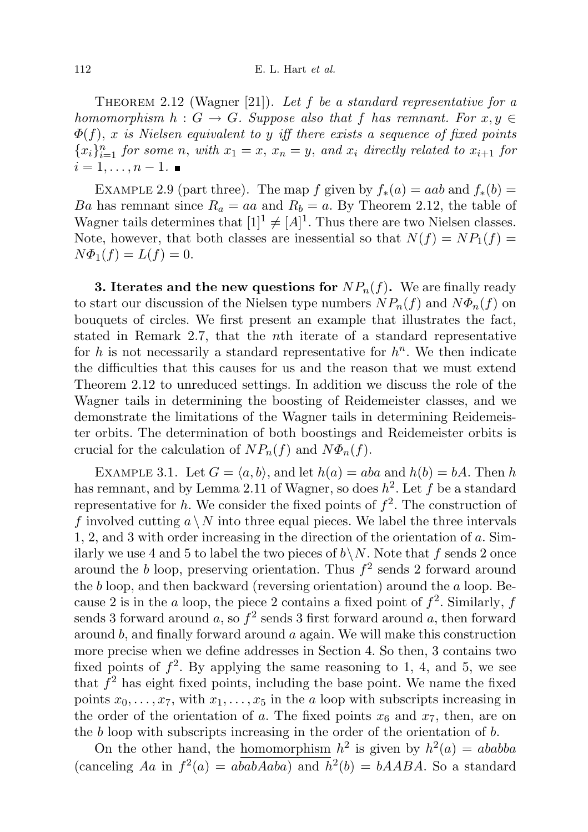THEOREM 2.12 (Wagner [21]). Let f be a standard representative for a homomorphism  $h : G \to G$ . Suppose also that f has remnant. For  $x, y \in G$  $\Phi(f)$ , x is Nielsen equivalent to y iff there exists a sequence of fixed points  ${x_i}_{i=1}^n$  for some n, with  $x_1 = x$ ,  $x_n = y$ , and  $x_i$  directly related to  $x_{i+1}$  for  $i=1,\ldots,n-1$ .

EXAMPLE 2.9 (part three). The map f given by  $f_*(a) = aab$  and  $f_*(b) = a$ Ba has remnant since  $R_a = aa$  and  $R_b = a$ . By Theorem 2.12, the table of Wagner tails determines that  $[1]^1 \neq [A]^1$ . Thus there are two Nielsen classes. Note, however, that both classes are inessential so that  $N(f) = NP_1(f)$  $N\Phi_1(f) = L(f) = 0.$ 

**3. Iterates and the new questions for**  $NP_n(f)$ . We are finally ready to start our discussion of the Nielsen type numbers  $NP_n(f)$  and  $N\Phi_n(f)$  on bouquets of circles. We first present an example that illustrates the fact, stated in Remark 2.7, that the nth iterate of a standard representative for h is not necessarily a standard representative for  $h<sup>n</sup>$ . We then indicate the difficulties that this causes for us and the reason that we must extend Theorem 2.12 to unreduced settings. In addition we discuss the role of the Wagner tails in determining the boosting of Reidemeister classes, and we demonstrate the limitations of the Wagner tails in determining Reidemeister orbits. The determination of both boostings and Reidemeister orbits is crucial for the calculation of  $NP_n(f)$  and  $N\Phi_n(f)$ .

EXAMPLE 3.1. Let  $G = \langle a, b \rangle$ , and let  $h(a) = aba$  and  $h(b) = bA$ . Then h has remnant, and by Lemma 2.11 of Wagner, so does  $h^2$ . Let f be a standard representative for h. We consider the fixed points of  $f^2$ . The construction of f involved cutting  $a \setminus N$  into three equal pieces. We label the three intervals 1, 2, and 3 with order increasing in the direction of the orientation of a. Similarly we use 4 and 5 to label the two pieces of  $b\setminus N$ . Note that f sends 2 once around the b loop, preserving orientation. Thus  $f^2$  sends 2 forward around the b loop, and then backward (reversing orientation) around the  $a$  loop. Because 2 is in the a loop, the piece 2 contains a fixed point of  $f^2$ . Similarly, f sends 3 forward around a, so  $f^2$  sends 3 first forward around a, then forward around b, and finally forward around a again. We will make this construction more precise when we define addresses in Section 4. So then, 3 contains two fixed points of  $f^2$ . By applying the same reasoning to 1, 4, and 5, we see that  $f<sup>2</sup>$  has eight fixed points, including the base point. We name the fixed points  $x_0, \ldots, x_7$ , with  $x_1, \ldots, x_5$  in the a loop with subscripts increasing in the order of the orientation of a. The fixed points  $x_6$  and  $x_7$ , then, are on the b loop with subscripts increasing in the order of the orientation of b.

On the other hand, the homomorphism  $h^2$  is given by  $h^2(a) = ababba$ (canceling Aa in  $f^2(a) = ababAaba$ ) and  $h^2(b) = bAABA$ . So a standard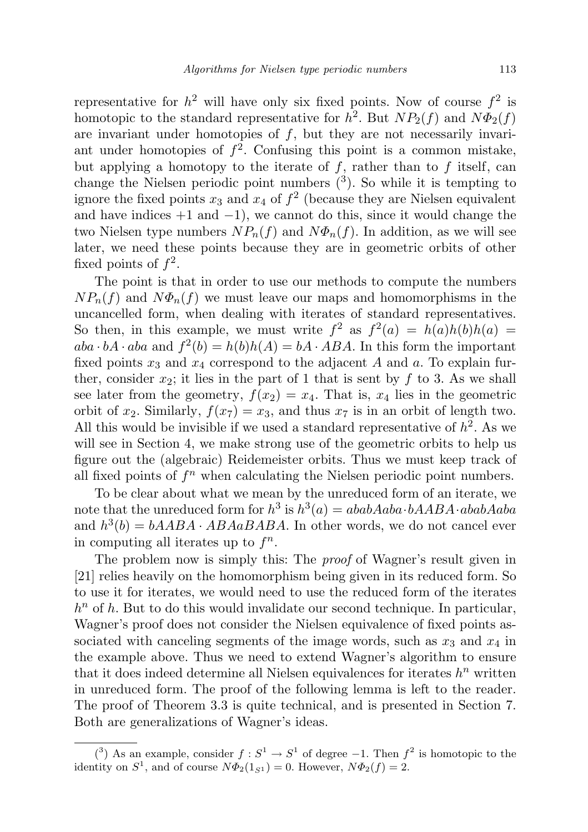representative for  $h^2$  will have only six fixed points. Now of course  $f^2$  is homotopic to the standard representative for  $h^2$ . But  $NP_2(f)$  and  $N\Phi_2(f)$ are invariant under homotopies of  $f$ , but they are not necessarily invariant under homotopies of  $f^2$ . Confusing this point is a common mistake, but applying a homotopy to the iterate of  $f$ , rather than to  $f$  itself, can change the Nielsen periodic point numbers  $(3)$ . So while it is tempting to ignore the fixed points  $x_3$  and  $x_4$  of  $f^2$  (because they are Nielsen equivalent and have indices  $+1$  and  $-1$ ), we cannot do this, since it would change the two Nielsen type numbers  $NP_n(f)$  and  $N\Phi_n(f)$ . In addition, as we will see later, we need these points because they are in geometric orbits of other fixed points of  $f^2$ .

The point is that in order to use our methods to compute the numbers  $NP_n(f)$  and  $N\Phi_n(f)$  we must leave our maps and homomorphisms in the uncancelled form, when dealing with iterates of standard representatives. So then, in this example, we must write  $f^2$  as  $f^2(a) = h(a)h(b)h(a)$  $aba \cdot bA \cdot aba$  and  $f^2(b) = h(b)h(A) = bA \cdot ABA$ . In this form the important fixed points  $x_3$  and  $x_4$  correspond to the adjacent A and a. To explain further, consider  $x_2$ ; it lies in the part of 1 that is sent by f to 3. As we shall see later from the geometry,  $f(x_2) = x_4$ . That is,  $x_4$  lies in the geometric orbit of  $x_2$ . Similarly,  $f(x_7) = x_3$ , and thus  $x_7$  is in an orbit of length two. All this would be invisible if we used a standard representative of  $h^2$ . As we will see in Section 4, we make strong use of the geometric orbits to help us figure out the (algebraic) Reidemeister orbits. Thus we must keep track of all fixed points of  $f<sup>n</sup>$  when calculating the Nielsen periodic point numbers.

To be clear about what we mean by the unreduced form of an iterate, we note that the unreduced form for  $h^3$  is  $h^3(a) = ababAaba \cdot bAABA \cdot ababAaba$ and  $h^3(b) = bAABA \cdot ABAaBABA$ . In other words, we do not cancel ever in computing all iterates up to  $f^n$ .

The problem now is simply this: The *proof* of Wagner's result given in [21] relies heavily on the homomorphism being given in its reduced form. So to use it for iterates, we would need to use the reduced form of the iterates  $h<sup>n</sup>$  of h. But to do this would invalidate our second technique. In particular, Wagner's proof does not consider the Nielsen equivalence of fixed points associated with canceling segments of the image words, such as  $x_3$  and  $x_4$  in the example above. Thus we need to extend Wagner's algorithm to ensure that it does indeed determine all Nielsen equivalences for iterates  $h^n$  written in unreduced form. The proof of the following lemma is left to the reader. The proof of Theorem 3.3 is quite technical, and is presented in Section 7. Both are generalizations of Wagner's ideas.

<sup>(&</sup>lt;sup>3</sup>) As an example, consider  $f : S^1 \to S^1$  of degree -1. Then  $f^2$  is homotopic to the identity on  $S^1$ , and of course  $N\Phi_2(1_{S^1}) = 0$ . However,  $N\Phi_2(f) = 2$ .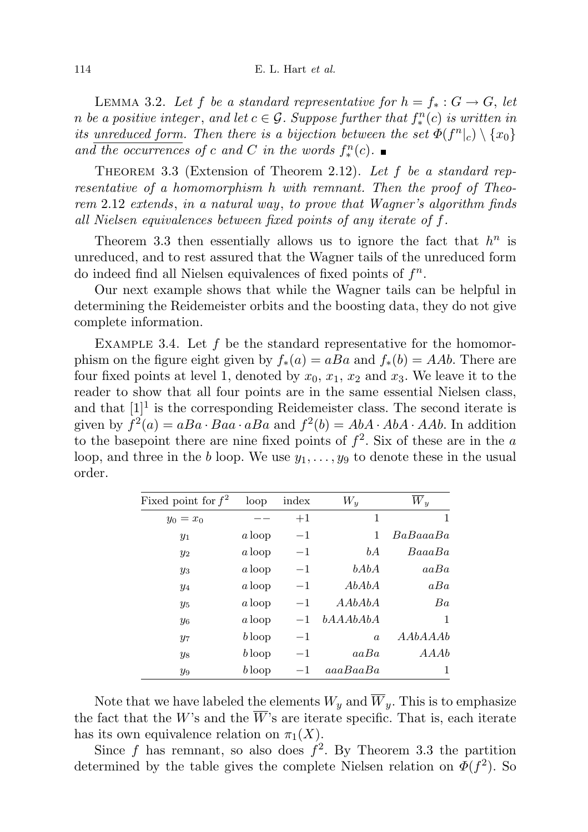LEMMA 3.2. Let f be a standard representative for  $h = f_* : G \to G$ , let n be a positive integer, and let  $c \in \mathcal{G}$ . Suppose further that  $f_*^n(c)$  is written in its unreduced form. Then there is a bijection between the set  $\Phi(f^n|_c) \setminus \{x_0\}$ and the occurrences of c and C in the words  $f_*^n(c)$ .

THEOREM 3.3 (Extension of Theorem 2.12). Let  $f$  be a standard representative of a homomorphism h with remnant. Then the proof of Theorem 2.12 extends, in a natural way, to prove that Wagner's algorithm finds all Nielsen equivalences between fixed points of any iterate of f.

Theorem 3.3 then essentially allows us to ignore the fact that  $h^n$  is unreduced, and to rest assured that the Wagner tails of the unreduced form do indeed find all Nielsen equivalences of fixed points of  $f<sup>n</sup>$ .

Our next example shows that while the Wagner tails can be helpful in determining the Reidemeister orbits and the boosting data, they do not give complete information.

EXAMPLE 3.4. Let  $f$  be the standard representative for the homomorphism on the figure eight given by  $f_*(a) = aBa$  and  $f_*(b) = AAb$ . There are four fixed points at level 1, denoted by  $x_0, x_1, x_2$  and  $x_3$ . We leave it to the reader to show that all four points are in the same essential Nielsen class, and that  $[1]^1$  is the corresponding Reidemeister class. The second iterate is given by  $f^2(a) = aBa \cdot Baa \cdot aBa$  and  $f^2(b) = AbA \cdot AbA \cdot AAb$ . In addition to the basepoint there are nine fixed points of  $f^2$ . Six of these are in the a loop, and three in the b loop. We use  $y_1, \ldots, y_9$  to denote these in the usual order.

| Fixed point for $f^2$ | loop     | index   | $W_y$            | $\overline{W}_y$ |
|-----------------------|----------|---------|------------------|------------------|
| $y_0 = x_0$           |          | $+1$    | 1                | 1                |
| $y_1$                 | a loop   | $^{-1}$ | 1                | BaBaaaBa         |
| $y_2$                 | a loop   | $-1$    | bA               | BaaaBa           |
| $y_3$                 | a loop   | $^{-1}$ | bAbA             | aaBa             |
| $y_4$                 | a loop   | $-1$    | AbAbA            | aBa              |
| $y_5$                 | a loop   | $-1$    | AAbAbA           | Ba               |
| $y_6$                 | a loop   | $-1$    | bA A A b A b A   | 1                |
| $y_7$                 | $b$ loop | $^{-1}$ | $\boldsymbol{a}$ | A AbA A Ab       |
| $y_8$                 | $b$ loop | $^{-1}$ | aa Ba            | A A Ab           |
| $y_9$                 | $b$ loop |         | aaaBaaBa         | 1                |

Note that we have labeled the elements  $W_y$  and  $\overline{W}_y$ . This is to emphasize the fact that the W's and the  $\overline{W}$ 's are iterate specific. That is, each iterate has its own equivalence relation on  $\pi_1(X)$ .

Since f has remnant, so also does  $f^2$ . By Theorem 3.3 the partition determined by the table gives the complete Nielsen relation on  $\Phi(f^2)$ . So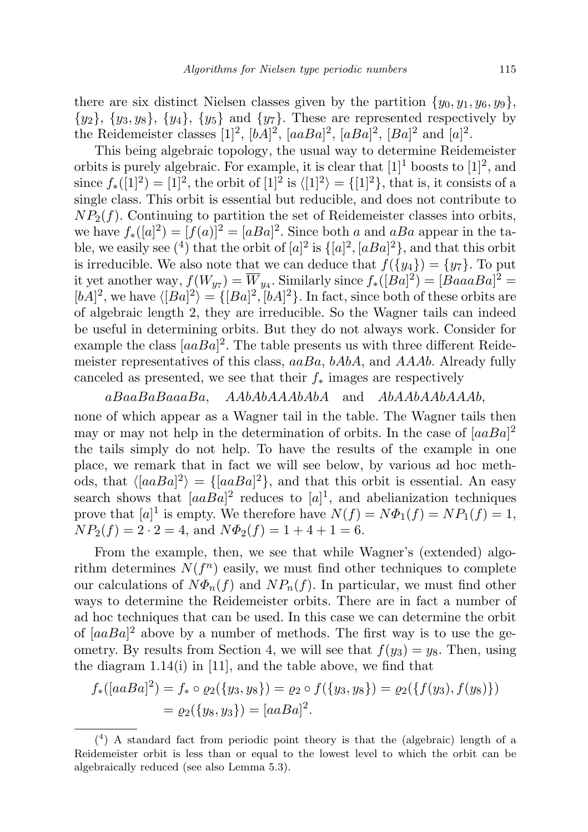there are six distinct Nielsen classes given by the partition  $\{y_0, y_1, y_6, y_9\}$ ,  $\{y_2\}, \{y_3, y_8\}, \{y_4\}, \{y_5\}$  and  $\{y_7\}$ . These are represented respectively by the Reidemeister classes [1]<sup>2</sup>,  $[bA]^2$ ,  $[aBa]^2$ ,  $[aBa]^2$ ,  $[Ba]^2$  and  $[a]^2$ .

This being algebraic topology, the usual way to determine Reidemeister orbits is purely algebraic. For example, it is clear that  $[1]^1$  boosts to  $[1]^2$ , and since  $f_*(1]^2) = [1]^2$ , the orbit of  $[1]^2$  is  $\langle [1]^2 \rangle = \{ [1]^2 \}$ , that is, it consists of a single class. This orbit is essential but reducible, and does not contribute to  $NP<sub>2</sub>(f)$ . Continuing to partition the set of Reidemeister classes into orbits, we have  $f_*([a]^2) = [f(a)]^2 = [aBa]^2$ . Since both a and aBa appear in the table, we easily see  $({}^4)$  that the orbit of  $[a]^2$  is  $\{[a]^2,[aBa]^2\}$ , and that this orbit is irreducible. We also note that we can deduce that  $f({y_4}) = {y_7}$ . To put it yet another way,  $f(W_{y7}) = \overline{W}_{y4}$ . Similarly since  $f_*([Ba]^2) = [BaaaBa]^2 =$  $[bA]^2$ , we have  $\langle [Ba]^2 \rangle = \{ [Ba]^2, [bA]^2 \}$ . In fact, since both of these orbits are of algebraic length 2, they are irreducible. So the Wagner tails can indeed be useful in determining orbits. But they do not always work. Consider for example the class  $[aaBa]^2$ . The table presents us with three different Reidemeister representatives of this class,  $aaBa$ ,  $bAbA$ , and  $AAAb$ . Already fully canceled as presented, we see that their  $f_*$  images are respectively

aBaaBaBaaaBa, AAbAbAAAbAbA and AbAAbAAbAAAb, none of which appear as a Wagner tail in the table. The Wagner tails then may or may not help in the determination of orbits. In the case of  $[aaBa]^2$ the tails simply do not help. To have the results of the example in one place, we remark that in fact we will see below, by various ad hoc methods, that  $\langle [aaBa]^2 \rangle = \{ [aaBa]^2 \}$ , and that this orbit is essential. An easy search shows that  $[aaBa]^2$  reduces to  $[a]^1$ , and abelianization techniques prove that  $[a]^1$  is empty. We therefore have  $N(f) = N\Phi_1(f) = NP_1(f) = 1$ ,  $NP_2(f) = 2 \cdot 2 = 4$ , and  $N\Phi_2(f) = 1 + 4 + 1 = 6$ .

From the example, then, we see that while Wagner's (extended) algorithm determines  $N(f^n)$  easily, we must find other techniques to complete our calculations of  $N\Phi_n(f)$  and  $NP_n(f)$ . In particular, we must find other ways to determine the Reidemeister orbits. There are in fact a number of ad hoc techniques that can be used. In this case we can determine the orbit of  $[aaBa]^2$  above by a number of methods. The first way is to use the geometry. By results from Section 4, we will see that  $f(y_3) = y_8$ . Then, using the diagram 1.14(i) in [11], and the table above, we find that

$$
f_*([aaBa]^2) = f_* \circ \varrho_2({y_3, y_8}) = \varrho_2 \circ f({y_3, y_8}) = \varrho_2({f(y_3), f(y_8)})
$$
  
=  $\varrho_2({y_8, y_3}) = [aaBa]^2$ .

<sup>(</sup> 4 ) A standard fact from periodic point theory is that the (algebraic) length of a Reidemeister orbit is less than or equal to the lowest level to which the orbit can be algebraically reduced (see also Lemma 5.3).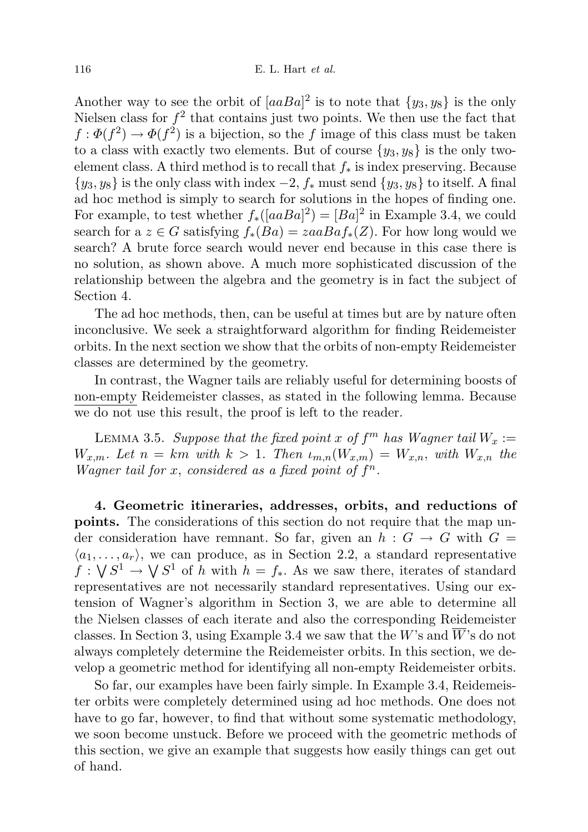Another way to see the orbit of  $[aaBa]^2$  is to note that  $\{y_3, y_8\}$  is the only Nielsen class for  $f^2$  that contains just two points. We then use the fact that  $f: \Phi(f^2) \to \Phi(f^2)$  is a bijection, so the f image of this class must be taken to a class with exactly two elements. But of course  $\{y_3, y_8\}$  is the only twoelement class. A third method is to recall that  $f_*$  is index preserving. Because  ${y_3, y_8}$  is the only class with index  $-2$ ,  $f_*$  must send  ${y_3, y_8}$  to itself. A final ad hoc method is simply to search for solutions in the hopes of finding one. For example, to test whether  $f_*([aaBa]^2) = [Ba]^2$  in Example 3.4, we could search for a  $z \in G$  satisfying  $f_*(Ba) = zaaBaf_*(Z)$ . For how long would we search? A brute force search would never end because in this case there is no solution, as shown above. A much more sophisticated discussion of the relationship between the algebra and the geometry is in fact the subject of Section 4.

The ad hoc methods, then, can be useful at times but are by nature often inconclusive. We seek a straightforward algorithm for finding Reidemeister orbits. In the next section we show that the orbits of non-empty Reidemeister classes are determined by the geometry.

In contrast, the Wagner tails are reliably useful for determining boosts of non-empty Reidemeister classes, as stated in the following lemma. Because we do not use this result, the proof is left to the reader.

LEMMA 3.5. Suppose that the fixed point x of  $f^m$  has Wagner tail  $W_x :=$  $W_{x,m}$ . Let  $n = km$  with  $k > 1$ . Then  $\iota_{m,n}(W_{x,m}) = W_{x,n}$ , with  $W_{x,n}$  the Wagner tail for x, considered as a fixed point of  $f^n$ .

4. Geometric itineraries, addresses, orbits, and reductions of points. The considerations of this section do not require that the map under consideration have remnant. So far, given an  $h : G \to G$  with  $G =$  $\langle a_1, \ldots, a_r \rangle$ , we can produce, as in Section 2.2, a standard representative  $f: \bigvee S^1 \to \bigvee S^1$  of h with  $h = f_*$ . As we saw there, iterates of standard representatives are not necessarily standard representatives. Using our extension of Wagner's algorithm in Section 3, we are able to determine all the Nielsen classes of each iterate and also the corresponding Reidemeister classes. In Section 3, using Example 3.4 we saw that the W's and  $\bar{W}$ 's do not always completely determine the Reidemeister orbits. In this section, we develop a geometric method for identifying all non-empty Reidemeister orbits.

So far, our examples have been fairly simple. In Example 3.4, Reidemeister orbits were completely determined using ad hoc methods. One does not have to go far, however, to find that without some systematic methodology, we soon become unstuck. Before we proceed with the geometric methods of this section, we give an example that suggests how easily things can get out of hand.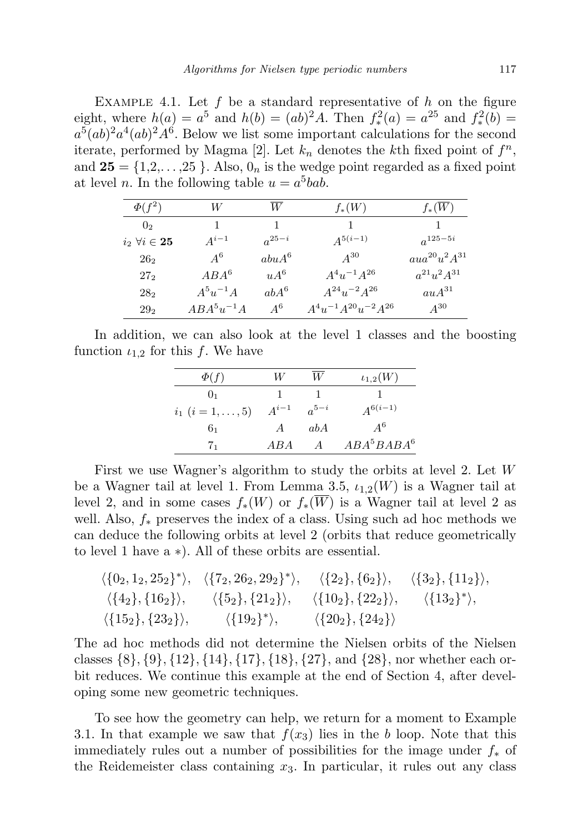EXAMPLE 4.1. Let  $f$  be a standard representative of  $h$  on the figure eight, where  $h(a) = a^5$  and  $h(b) = (ab)^2 A$ . Then  $f^2_*(a) = a^{25}$  and  $f^2_*(b) = a^{25}$  $a^5(ab)^2a^4(ab)^2A^6$ . Below we list some important calculations for the second iterate, performed by Magma [2]. Let  $k_n$  denotes the kth fixed point of  $f^n$ , and  $25 = \{1,2,\ldots,25\}$ . Also,  $0_n$  is the wedge point regarded as a fixed point at level *n*. In the following table  $u = a^5$ bab.

| $\Phi(f^2)$                       | W              | W          | $f_*(W)$                      | $f_*(W)$                |
|-----------------------------------|----------------|------------|-------------------------------|-------------------------|
| 0 <sub>2</sub>                    | 1              | 1          |                               |                         |
| $i_2 \;\forall i \in \mathbf{25}$ | $A^{i-1}$      | $a^{25-i}$ | $A^{5(i-1)}$                  | $a^{125-5i}$            |
| $26_{2}$                          | $A^6$          | $abuA^6$   | $A^{30}$                      | $a u a^{20} u^2 A^{31}$ |
| 27 <sub>2</sub>                   | $ABA^6$        | $uA^6$     | $A^4u^{-1}A^{26}$             | $a^{21}u^2A^{31}$       |
| 28 <sub>2</sub>                   | $A^{5}u^{-1}A$ | $abA^6$    | $A^{24}u^{-2}A^{26}$          | $auA^{31}$              |
| 29 <sub>2</sub>                   | $ABA^5u^{-1}A$ | $A^6$      | $A^4u^{-1}A^{20}u^{-2}A^{26}$ | $A^{30}$                |
|                                   |                |            |                               |                         |

In addition, we can also look at the level 1 classes and the boosting function  $\iota_{1,2}$  for this f. We have

| $\Phi(f)$                  | W              | W         | $\iota_{1,2}(W)$                   |
|----------------------------|----------------|-----------|------------------------------------|
| 0 <sub>1</sub>             |                |           |                                    |
| $i_1$ $(i = 1, \ldots, 5)$ | $A^{i-1}$      | $a^{5-i}$ | $A^{6(i-1)}$                       |
| 61                         | $\overline{A}$ | abA       | $A^6$                              |
| 71                         | ABA            | $\Delta$  | ABA <sup>5</sup> BABA <sup>6</sup> |

First we use Wagner's algorithm to study the orbits at level 2. Let W be a Wagner tail at level 1. From Lemma 3.5,  $\iota_{1,2}(W)$  is a Wagner tail at level 2, and in some cases  $f_*(W)$  or  $f_*(\overline{W})$  is a Wagner tail at level 2 as well. Also,  $f_*$  preserves the index of a class. Using such ad hoc methods we can deduce the following orbits at level 2 (orbits that reduce geometrically to level 1 have a ∗). All of these orbits are essential.

$$
\langle \{0_2, 1_2, 25_2\}^* \rangle, \quad \langle \{7_2, 26_2, 29_2\}^* \rangle, \quad \langle \{2_2\}, \{6_2\} \rangle, \quad \langle \{3_2\}, \{11_2\} \rangle, \n\langle \{4_2\}, \{16_2\} \rangle, \quad \langle \{5_2\}, \{21_2\} \rangle, \quad \langle \{10_2\}, \{22_2\} \rangle, \quad \langle \{13_2\}^* \rangle, \n\langle \{15_2\}, \{23_2\} \rangle, \quad \langle \{19_2\}^* \rangle, \quad \langle \{20_2\}, \{24_2\} \rangle
$$

The ad hoc methods did not determine the Nielsen orbits of the Nielsen classes  $\{8\}, \{9\}, \{12\}, \{14\}, \{17\}, \{18\}, \{27\}, \text{ and } \{28\}, \text{ nor whether each or$ bit reduces. We continue this example at the end of Section 4, after developing some new geometric techniques.

To see how the geometry can help, we return for a moment to Example 3.1. In that example we saw that  $f(x_3)$  lies in the b loop. Note that this immediately rules out a number of possibilities for the image under  $f_*$  of the Reidemeister class containing  $x_3$ . In particular, it rules out any class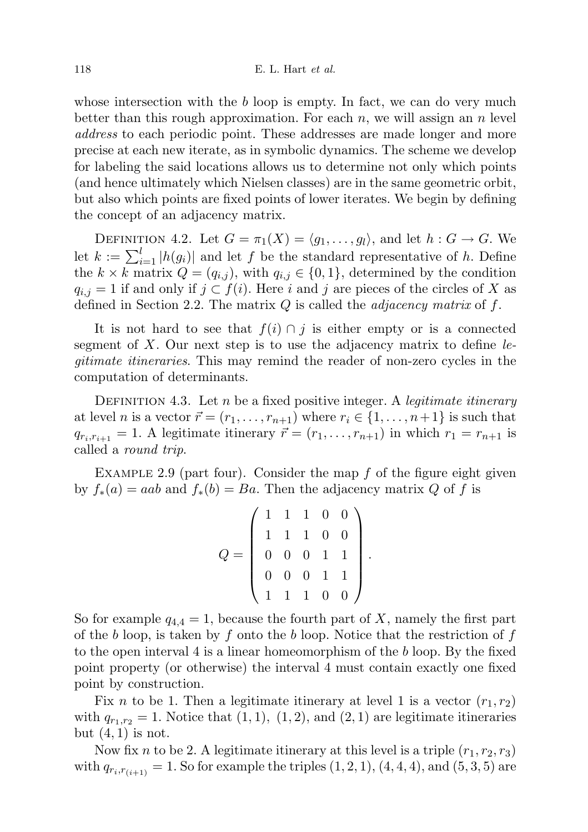whose intersection with the  $b$  loop is empty. In fact, we can do very much better than this rough approximation. For each  $n$ , we will assign an  $n$  level address to each periodic point. These addresses are made longer and more precise at each new iterate, as in symbolic dynamics. The scheme we develop for labeling the said locations allows us to determine not only which points (and hence ultimately which Nielsen classes) are in the same geometric orbit, but also which points are fixed points of lower iterates. We begin by defining the concept of an adjacency matrix.

DEFINITION 4.2. Let  $G = \pi_1(X) = \langle q_1, \ldots, q_l \rangle$ , and let  $h : G \to G$ . We let  $k := \sum_{i=1}^{l} |h(g_i)|$  and let f be the standard representative of h. Define the  $k \times k$  matrix  $Q = (q_{i,j})$ , with  $q_{i,j} \in \{0,1\}$ , determined by the condition  $q_{i,j} = 1$  if and only if  $j \subset f(i)$ . Here i and j are pieces of the circles of X as defined in Section 2.2. The matrix  $Q$  is called the *adjacency matrix* of  $f$ .

It is not hard to see that  $f(i) \cap j$  is either empty or is a connected segment of  $X$ . Our next step is to use the adjacency matrix to define legitimate itineraries. This may remind the reader of non-zero cycles in the computation of determinants.

DEFINITION 4.3. Let n be a fixed positive integer. A *legitimate itinerary* at level *n* is a vector  $\vec{r} = (r_1, \ldots, r_{n+1})$  where  $r_i \in \{1, \ldots, n+1\}$  is such that  $q_{r_i,r_{i+1}} = 1$ . A legitimate itinerary  $\vec{r} = (r_1,\ldots,r_{n+1})$  in which  $r_1 = r_{n+1}$  is called a round trip.

EXAMPLE 2.9 (part four). Consider the map  $f$  of the figure eight given by  $f_*(a) = aab$  and  $f_*(b) = Ba$ . Then the adjacency matrix Q of f is

|                | $\begin{array}{cccccc} 1 & 1 & 1 & 0 & 0 \\ 1 & 1 & 1 & 0 & 0 \end{array}$ |                                                                  |              |  |
|----------------|----------------------------------------------------------------------------|------------------------------------------------------------------|--------------|--|
| $\overline{0}$ | $\overline{0}$                                                             | $\begin{bmatrix} 1 & 3 \\ 0 & 1 \\ 0 & 1 \\ 1 & 0 \end{bmatrix}$ | $\mathbf{1}$ |  |
| $\theta$       | $\overline{0}$                                                             |                                                                  | $\mathbf{1}$ |  |
|                |                                                                            |                                                                  |              |  |

So for example  $q_{4,4} = 1$ , because the fourth part of X, namely the first part of the b loop, is taken by f onto the b loop. Notice that the restriction of f to the open interval 4 is a linear homeomorphism of the  $b$  loop. By the fixed point property (or otherwise) the interval 4 must contain exactly one fixed point by construction.

Fix n to be 1. Then a legitimate itinerary at level 1 is a vector  $(r_1, r_2)$ with  $q_{r_1,r_2} = 1$ . Notice that  $(1, 1), (1, 2),$  and  $(2, 1)$  are legitimate itineraries but  $(4, 1)$  is not.

Now fix n to be 2. A legitimate itinerary at this level is a triple  $(r_1, r_2, r_3)$ with  $q_{r_i,r_{(i+1)}} = 1$ . So for example the triples  $(1, 2, 1)$ ,  $(4, 4, 4)$ , and  $(5, 3, 5)$  are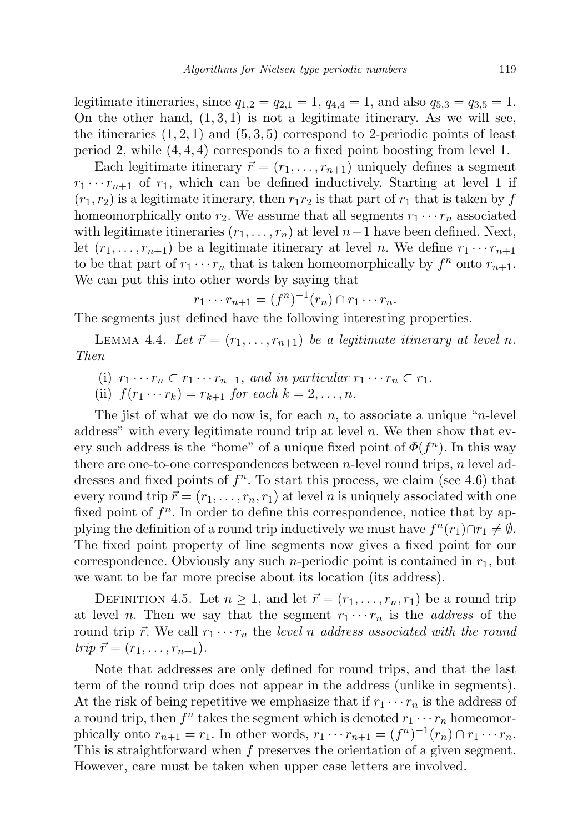legitimate itineraries, since  $q_{1,2} = q_{2,1} = 1$ ,  $q_{4,4} = 1$ , and also  $q_{5,3} = q_{3,5} = 1$ . On the other hand,  $(1,3,1)$  is not a legitimate itinerary. As we will see, the itineraries  $(1, 2, 1)$  and  $(5, 3, 5)$  correspond to 2-periodic points of least period 2, while (4, 4, 4) corresponds to a fixed point boosting from level 1.

Each legitimate itinerary  $\vec{r} = (r_1, \ldots, r_{n+1})$  uniquely defines a segment  $r_1 \cdots r_{n+1}$  of  $r_1$ , which can be defined inductively. Starting at level 1 if  $(r_1, r_2)$  is a legitimate itinerary, then  $r_1r_2$  is that part of  $r_1$  that is taken by f homeomorphically onto  $r_2$ . We assume that all segments  $r_1 \cdots r_n$  associated with legitimate itineraries  $(r_1, \ldots, r_n)$  at level  $n-1$  have been defined. Next, let  $(r_1, \ldots, r_{n+1})$  be a legitimate itinerary at level n. We define  $r_1 \cdots r_{n+1}$ to be that part of  $r_1 \cdots r_n$  that is taken homeomorphically by  $f^n$  onto  $r_{n+1}$ . We can put this into other words by saying that

$$
r_1 \cdots r_{n+1} = (f^n)^{-1}(r_n) \cap r_1 \cdots r_n.
$$

The segments just defined have the following interesting properties.

LEMMA 4.4. Let  $\vec{r} = (r_1, \ldots, r_{n+1})$  be a legitimate itinerary at level n. Then

- (i)  $r_1 \cdots r_n \subset r_1 \cdots r_{n-1}$ , and in particular  $r_1 \cdots r_n \subset r_1$ .
- (ii)  $f(r_1 \cdots r_k) = r_{k+1}$  for each  $k = 2, \ldots, n$ .

The jist of what we do now is, for each n, to associate a unique "n-level" address" with every legitimate round trip at level  $n$ . We then show that every such address is the "home" of a unique fixed point of  $\Phi(f^n)$ . In this way there are one-to-one correspondences between  $n$ -level round trips,  $n$  level addresses and fixed points of  $f<sup>n</sup>$ . To start this process, we claim (see 4.6) that every round trip  $\vec{r} = (r_1, \ldots, r_n, r_1)$  at level n is uniquely associated with one fixed point of  $f^n$ . In order to define this correspondence, notice that by applying the definition of a round trip inductively we must have  $f^{n}(r_1) \cap r_1 \neq \emptyset$ . The fixed point property of line segments now gives a fixed point for our correspondence. Obviously any such *n*-periodic point is contained in  $r_1$ , but we want to be far more precise about its location (its address).

DEFINITION 4.5. Let  $n \geq 1$ , and let  $\vec{r} = (r_1, \ldots, r_n, r_1)$  be a round trip at level *n*. Then we say that the segment  $r_1 \cdots r_n$  is the *address* of the round trip  $\vec{r}$ . We call  $r_1 \cdots r_n$  the level n address associated with the round trip  $\vec{r} = (r_1, \ldots, r_{n+1}).$ 

Note that addresses are only defined for round trips, and that the last term of the round trip does not appear in the address (unlike in segments). At the risk of being repetitive we emphasize that if  $r_1 \cdots r_n$  is the address of a round trip, then  $f^n$  takes the segment which is denoted  $r_1 \cdots r_n$  homeomorphically onto  $r_{n+1} = r_1$ . In other words,  $r_1 \cdots r_{n+1} = (f^n)^{-1}(r_n) \cap r_1 \cdots r_n$ . This is straightforward when f preserves the orientation of a given segment. However, care must be taken when upper case letters are involved.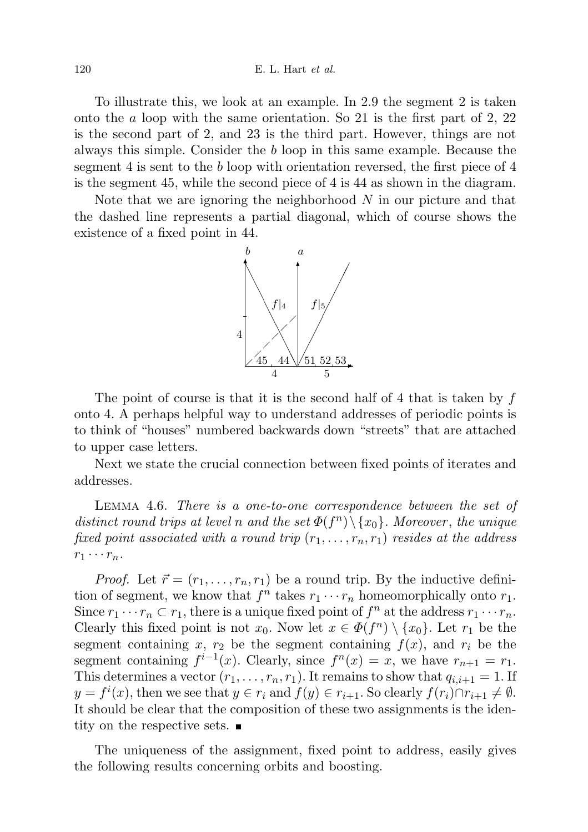To illustrate this, we look at an example. In 2.9 the segment 2 is taken onto the a loop with the same orientation. So 21 is the first part of 2, 22 is the second part of 2, and 23 is the third part. However, things are not always this simple. Consider the b loop in this same example. Because the segment 4 is sent to the b loop with orientation reversed, the first piece of 4 is the segment 45, while the second piece of 4 is 44 as shown in the diagram.

Note that we are ignoring the neighborhood  $N$  in our picture and that the dashed line represents a partial diagonal, which of course shows the existence of a fixed point in 44.



The point of course is that it is the second half of 4 that is taken by  $f$ onto 4. A perhaps helpful way to understand addresses of periodic points is to think of "houses" numbered backwards down "streets" that are attached to upper case letters.

Next we state the crucial connection between fixed points of iterates and addresses.

Lemma 4.6. There is a one-to-one correspondence between the set of distinct round trips at level n and the set  $\Phi(f^n) \setminus \{x_0\}$ . Moreover, the unique fixed point associated with a round trip  $(r_1, \ldots, r_n, r_1)$  resides at the address  $r_1 \cdots r_n$ .

*Proof.* Let  $\vec{r} = (r_1, \ldots, r_n, r_1)$  be a round trip. By the inductive definition of segment, we know that  $f^n$  takes  $r_1 \cdots r_n$  homeomorphically onto  $r_1$ . Since  $r_1 \cdots r_n \subset r_1$ , there is a unique fixed point of  $f^n$  at the address  $r_1 \cdots r_n$ . Clearly this fixed point is not  $x_0$ . Now let  $x \in \Phi(f^n) \setminus \{x_0\}$ . Let  $r_1$  be the segment containing x,  $r_2$  be the segment containing  $f(x)$ , and  $r_i$  be the segment containing  $f^{i-1}(x)$ . Clearly, since  $f^{n}(x) = x$ , we have  $r_{n+1} = r_1$ . This determines a vector  $(r_1, \ldots, r_n, r_1)$ . It remains to show that  $q_{i,i+1} = 1$ . If  $y = f^i(x)$ , then we see that  $y \in r_i$  and  $f(y) \in r_{i+1}$ . So clearly  $f(r_i) \cap r_{i+1} \neq \emptyset$ . It should be clear that the composition of these two assignments is the identity on the respective sets.

The uniqueness of the assignment, fixed point to address, easily gives the following results concerning orbits and boosting.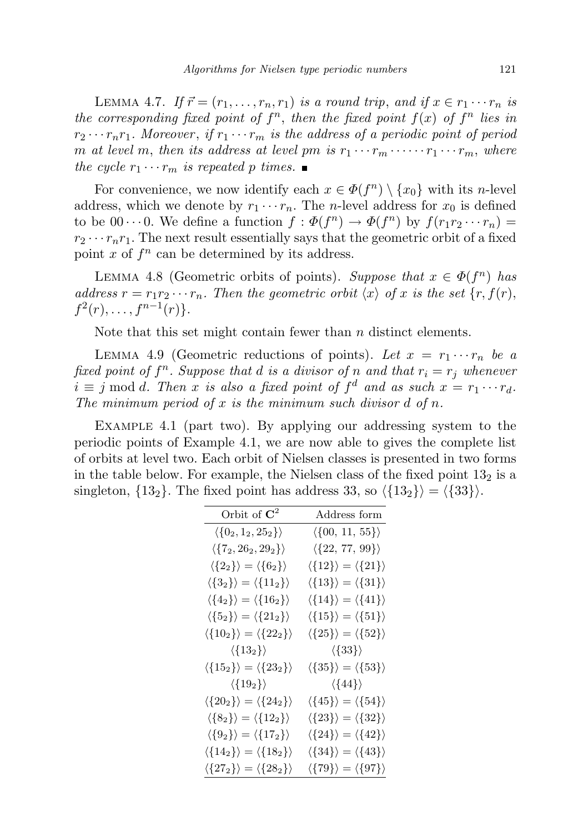LEMMA 4.7. If  $\vec{r} = (r_1, \ldots, r_n, r_1)$  is a round trip, and if  $x \in r_1 \cdots r_n$  is the corresponding fixed point of  $f^n$ , then the fixed point  $f(x)$  of  $f^n$  lies in  $r_2 \cdots r_n r_1$ . Moreover, if  $r_1 \cdots r_m$  is the address of a periodic point of period m at level m, then its address at level pm is  $r_1 \cdots r_m \cdots r_1 \cdots r_m$ , where the cycle  $r_1 \cdots r_m$  is repeated p times.

For convenience, we now identify each  $x \in \Phi(f^n) \setminus \{x_0\}$  with its *n*-level address, which we denote by  $r_1 \cdots r_n$ . The *n*-level address for  $x_0$  is defined to be  $00 \cdots 0$ . We define a function  $f : \Phi(f^n) \to \Phi(f^n)$  by  $f(r_1r_2 \cdots r_n) =$  $r_2 \cdots r_n r_1$ . The next result essentially says that the geometric orbit of a fixed point  $x$  of  $f^n$  can be determined by its address.

LEMMA 4.8 (Geometric orbits of points). Suppose that  $x \in \Phi(f^n)$  has address  $r = r_1r_2 \cdots r_n$ . Then the geometric orbit  $\langle x \rangle$  of x is the set  $\{r, f(r),\}$  $f^{2}(r), \ldots, f^{n-1}(r)\}.$ 

Note that this set might contain fewer than *n* distinct elements.

LEMMA 4.9 (Geometric reductions of points). Let  $x = r_1 \cdots r_n$  be a fixed point of  $f^n$ . Suppose that d is a divisor of n and that  $r_i = r_j$  whenever  $i \equiv j \mod d$ . Then x is also a fixed point of  $f^d$  and as such  $x = r_1 \cdots r_d$ . The minimum period of x is the minimum such divisor  $d$  of  $n$ .

Example 4.1 (part two). By applying our addressing system to the periodic points of Example 4.1, we are now able to gives the complete list of orbits at level two. Each orbit of Nielsen classes is presented in two forms in the table below. For example, the Nielsen class of the fixed point  $13<sub>2</sub>$  is a singleton,  $\{13_2\}$ . The fixed point has address 33, so  $\langle \{13_2\}\rangle = \langle \{33\}\rangle$ .

| Orbit of $\mathbf{C}^2$                              | Address form                                      |
|------------------------------------------------------|---------------------------------------------------|
| $\langle \{0_2, 1_2, 25_2\} \rangle$                 | $\langle \{00, 11, 55\} \rangle$                  |
| $\langle \{7_2, 26_2, 29_2\} \rangle$                | $\langle \{22, 77, 99\} \rangle$                  |
| $\langle \{2_2\} \rangle = \langle \{6_2\} \rangle$  | $\langle \{12\}\rangle = \langle \{21\}\rangle$   |
| $\langle \{3_2\} \rangle = \langle \{11_2\} \rangle$ | $\langle \{13\} \rangle = \langle \{31\} \rangle$ |
| $\langle \{4_2\} \rangle = \langle \{16_2\} \rangle$ | $\langle \{14\} \rangle = \langle \{41\} \rangle$ |
| $\langle \{5_2\} \rangle = \langle \{21_2\} \rangle$ | $\langle \{15\} \rangle = \langle \{51\} \rangle$ |
| $\langle \{10_2\}\rangle = \langle \{22_2\}\rangle$  | $\langle \{25\} \rangle = \langle \{52\} \rangle$ |
| $\langle \{13_2\}\rangle$                            | $\langle \{33\} \rangle$                          |
| $\langle \{15_2\}\rangle = \langle \{23_2\}\rangle$  | $\langle \{35\} \rangle = \langle \{53\} \rangle$ |
| $\langle \{19_2\}\rangle$                            | $\langle \{44\} \rangle$                          |
| $\langle \{20_2\}\rangle = \langle \{24_2\}\rangle$  | $\langle \{45\} \rangle = \langle \{54\} \rangle$ |
| $\langle \{8_2\} \rangle = \langle \{12_2\} \rangle$ | $\langle {23} \rangle = \langle {32} \rangle$     |
| $\langle \{9_2\} \rangle = \langle \{17_2\} \rangle$ | $\langle \{24\} \rangle = \langle \{42\} \rangle$ |
| $\langle \{14_2\}\rangle = \langle \{18_2\}\rangle$  | $\langle \{34\} \rangle = \langle \{43\} \rangle$ |
| $\langle \{27_2\}\rangle = \langle \{28_2\}\rangle$  | $\langle \{79\} \rangle = \langle \{97\} \rangle$ |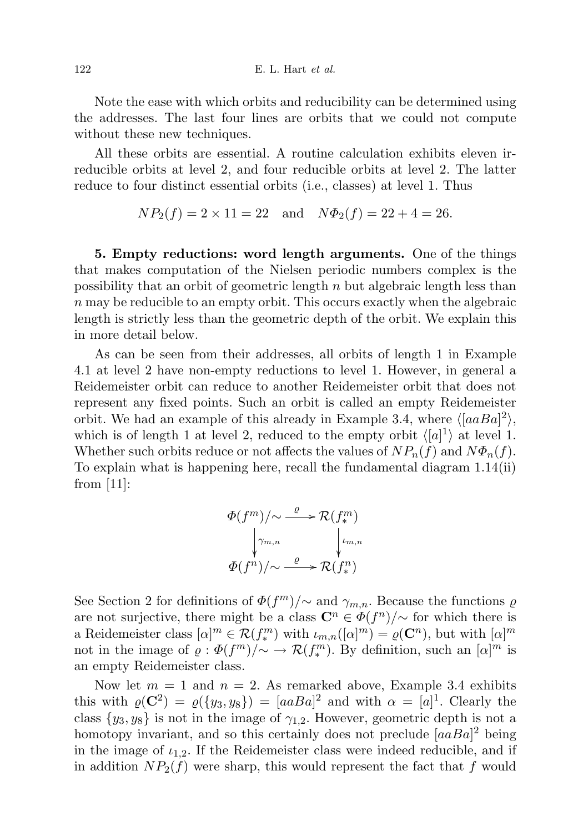Note the ease with which orbits and reducibility can be determined using the addresses. The last four lines are orbits that we could not compute without these new techniques.

All these orbits are essential. A routine calculation exhibits eleven irreducible orbits at level 2, and four reducible orbits at level 2. The latter reduce to four distinct essential orbits (i.e., classes) at level 1. Thus

$$
NP_2(f) = 2 \times 11 = 22
$$
 and  $N\Phi_2(f) = 22 + 4 = 26$ .

5. Empty reductions: word length arguments. One of the things that makes computation of the Nielsen periodic numbers complex is the possibility that an orbit of geometric length  $n$  but algebraic length less than  $n$  may be reducible to an empty orbit. This occurs exactly when the algebraic length is strictly less than the geometric depth of the orbit. We explain this in more detail below.

As can be seen from their addresses, all orbits of length 1 in Example 4.1 at level 2 have non-empty reductions to level 1. However, in general a Reidemeister orbit can reduce to another Reidemeister orbit that does not represent any fixed points. Such an orbit is called an empty Reidemeister orbit. We had an example of this already in Example 3.4, where  $\langle [aaBa]^2 \rangle$ , which is of length 1 at level 2, reduced to the empty orbit  $\langle [a]^1 \rangle$  at level 1. Whether such orbits reduce or not affects the values of  $NP_n(f)$  and  $N\Phi_n(f)$ . To explain what is happening here, recall the fundamental diagram 1.14(ii) from  $|11|$ :

$$
\Phi(f^{m})/\sim \xrightarrow{\varrho} \mathcal{R}(f^{m}_{*})
$$
\n
$$
\downarrow \gamma_{m,n} \qquad \qquad \downarrow \iota_{m,n}
$$
\n
$$
\Phi(f^{n})/\sim \xrightarrow{\varrho} \mathcal{R}(f^{n}_{*})
$$

See Section 2 for definitions of  $\Phi(f^m)/\sim$  and  $\gamma_{m,n}$ . Because the functions  $\varrho$ are not surjective, there might be a class  $\mathbb{C}^n \in \Phi(f^n)/\sim$  for which there is a Reidemeister class  $[\alpha]^m \in \mathcal{R}(f^m_*)$  with  $\iota_{m,n}([\alpha]^m) = \varrho(\mathbb{C}^n)$ , but with  $[\alpha]^m$ not in the image of  $\varrho: \Phi(f^m)/\sim \to \mathcal{R}(f^m_*)$ . By definition, such an  $[\alpha]^m$  is an empty Reidemeister class.

Now let  $m = 1$  and  $n = 2$ . As remarked above, Example 3.4 exhibits this with  $\rho(\mathbf{C}^2) = \rho({y_3, y_8}) = [aaBa]^2$  and with  $\alpha = [a]^1$ . Clearly the class  $\{y_3, y_8\}$  is not in the image of  $\gamma_{1,2}$ . However, geometric depth is not a homotopy invariant, and so this certainly does not preclude  $[aaBa]^2$  being in the image of  $i_{1,2}$ . If the Reidemeister class were indeed reducible, and if in addition  $NP_2(f)$  were sharp, this would represent the fact that f would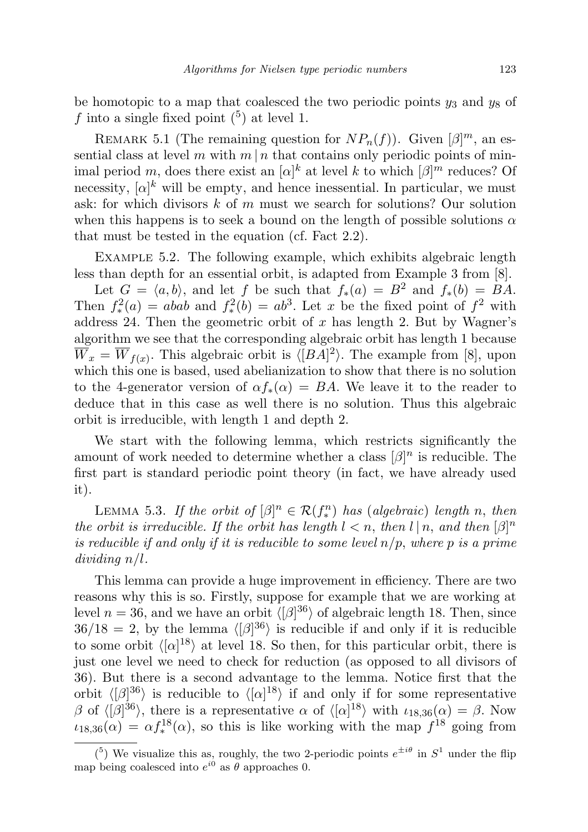be homotopic to a map that coalesced the two periodic points  $y_3$  and  $y_8$  of f into a single fixed point  $(5)$  at level 1.

REMARK 5.1 (The remaining question for  $NP_n(f)$ ). Given  $[\beta]^m$ , an essential class at level m with  $m \mid n$  that contains only periodic points of minimal period m, does there exist an  $[\alpha]^k$  at level k to which  $[\beta]^m$  reduces? Of necessity,  $[\alpha]^k$  will be empty, and hence inessential. In particular, we must ask: for which divisors  $k$  of  $m$  must we search for solutions? Our solution when this happens is to seek a bound on the length of possible solutions  $\alpha$ that must be tested in the equation (cf. Fact 2.2).

EXAMPLE 5.2. The following example, which exhibits algebraic length less than depth for an essential orbit, is adapted from Example 3 from [8].

Let  $G = \langle a, b \rangle$ , and let f be such that  $f_*(a) = B^2$  and  $f_*(b) = BA$ . Then  $f^2_*(a) = abab$  and  $f^2_*(b) = ab^3$ . Let x be the fixed point of  $f^2$  with address 24. Then the geometric orbit of  $x$  has length 2. But by Wagner's algorithm we see that the corresponding algebraic orbit has length 1 because  $\overline{W}_x = \overline{W}_{f(x)}$ . This algebraic orbit is  $\langle [BA]^2 \rangle$ . The example from [8], upon which this one is based, used abelianization to show that there is no solution to the 4-generator version of  $\alpha f_*(\alpha) = BA$ . We leave it to the reader to deduce that in this case as well there is no solution. Thus this algebraic orbit is irreducible, with length 1 and depth 2.

We start with the following lemma, which restricts significantly the amount of work needed to determine whether a class  $\lbrack \beta \rbrack^n$  is reducible. The first part is standard periodic point theory (in fact, we have already used it).

LEMMA 5.3. If the orbit of  $[\beta]^n \in \mathcal{R}(f_*^n)$  has (algebraic) length n, then the orbit is irreducible. If the orbit has length  $l < n$ , then  $l \mid n$ , and then  $\lbrack \beta \rbrack^n$ is reducible if and only if it is reducible to some level  $n/p$ , where p is a prime dividing n/l.

This lemma can provide a huge improvement in efficiency. There are two reasons why this is so. Firstly, suppose for example that we are working at level  $n = 36$ , and we have an orbit  $\langle \beta |^{36} \rangle$  of algebraic length 18. Then, since  $36/18 = 2$ , by the lemma  $\langle [\beta]^{36} \rangle$  is reducible if and only if it is reducible to some orbit  $\langle \alpha |^{18} \rangle$  at level 18. So then, for this particular orbit, there is just one level we need to check for reduction (as opposed to all divisors of 36). But there is a second advantage to the lemma. Notice first that the orbit  $\langle [\beta]^{36} \rangle$  is reducible to  $\langle [\alpha]^{18} \rangle$  if and only if for some representative β of  $\langle [\beta]^{36} \rangle$ , there is a representative α of  $\langle [\alpha]^{18} \rangle$  with  $\iota_{18,36}(\alpha) = \beta$ . Now  $u_{18,36}(\alpha) = \alpha f_*^{18}(\alpha)$ , so this is like working with the map  $f^{18}$  going from

<sup>(&</sup>lt;sup>5</sup>) We visualize this as, roughly, the two 2-periodic points  $e^{\pm i\theta}$  in  $S^1$  under the flip map being coalesced into  $e^{i0}$  as  $\theta$  approaches 0.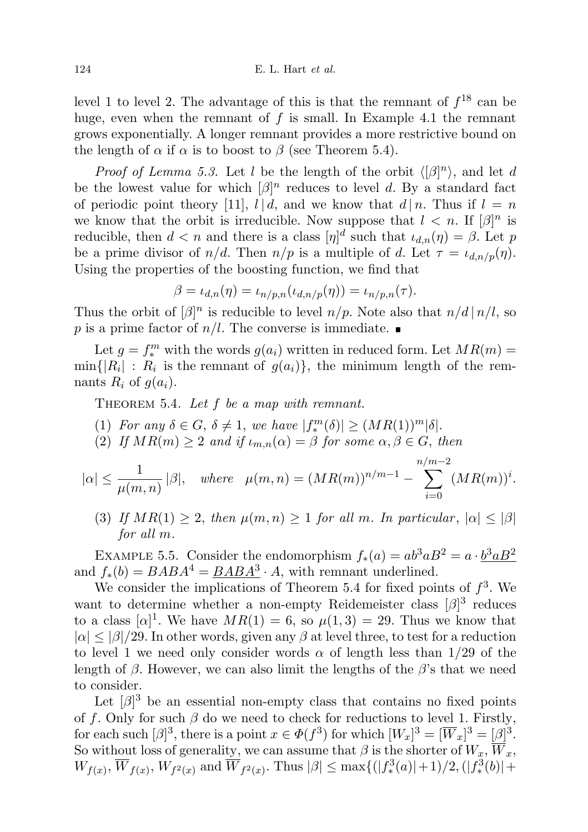level 1 to level 2. The advantage of this is that the remnant of  $f^{18}$  can be huge, even when the remnant of  $f$  is small. In Example 4.1 the remnant grows exponentially. A longer remnant provides a more restrictive bound on the length of  $\alpha$  if  $\alpha$  is to boost to  $\beta$  (see Theorem 5.4).

*Proof of Lemma 5.3.* Let l be the length of the orbit  $\langle [\beta]^n \rangle$ , and let d be the lowest value for which  $\lbrack \beta \rbrack^n$  reduces to level d. By a standard fact of periodic point theory [11],  $l | d$ , and we know that  $d | n$ . Thus if  $l = n$ we know that the orbit is irreducible. Now suppose that  $l < n$ . If  $[\beta]^n$  is reducible, then  $d < n$  and there is a class  $[\eta]^d$  such that  $\iota_{d,n}(\eta) = \beta$ . Let p be a prime divisor of  $n/d$ . Then  $n/p$  is a multiple of d. Let  $\tau = \iota_{d,n/p}(\eta)$ . Using the properties of the boosting function, we find that

$$
\beta = \iota_{d,n}(\eta) = \iota_{n/p,n}(\iota_{d,n/p}(\eta)) = \iota_{n/p,n}(\tau).
$$

Thus the orbit of  $\lbrack \beta \rbrack^n$  is reducible to level  $n/p$ . Note also that  $n/d \rbrack n/l$ , so p is a prime factor of  $n/l$ . The converse is immediate.

Let  $g = f_*^m$  with the words  $g(a_i)$  written in reduced form. Let  $MR(m) =$  $\min\{|R_i| : R_i$  is the remnant of  $g(a_i)\},$  the minimum length of the remnants  $R_i$  of  $g(a_i)$ .

THEOREM 5.4. Let  $f$  be a map with remnant.

- (1) For any  $\delta \in G$ ,  $\delta \neq 1$ , we have  $|f_*^m(\delta)| \geq (MR(1))^m|\delta|$ .
- (2) If  $MR(m) \geq 2$  and if  $\iota_{m,n}(\alpha) = \beta$  for some  $\alpha, \beta \in G$ , then

$$
|\alpha| \le \frac{1}{\mu(m,n)} |\beta|
$$
, where  $\mu(m,n) = (MR(m))^{n/m-1} - \sum_{i=0}^{n/m-2} (MR(m))^{i}$ .

(3) If  $MR(1) \geq 2$ , then  $\mu(m,n) \geq 1$  for all m. In particular,  $|\alpha| \leq |\beta|$ for all m.

EXAMPLE 5.5. Consider the endomorphism  $f_*(a) = ab^3 a B^2 = a \cdot \frac{b^3 a B^2}{a}$ and  $f_*(b) = BABA^4 = \underline{BABA^3} \cdot A$ , with remnant underlined.

We consider the implications of Theorem 5.4 for fixed points of  $f^3$ . We want to determine whether a non-empty Reidemeister class  $\lbrack \beta \rbrack^3$  reduces to a class  $[\alpha]^1$ . We have  $MR(1) = 6$ , so  $\mu(1,3) = 29$ . Thus we know that  $|\alpha| \leq |\beta|/29$ . In other words, given any  $\beta$  at level three, to test for a reduction to level 1 we need only consider words  $\alpha$  of length less than 1/29 of the length of  $\beta$ . However, we can also limit the lengths of the  $\beta$ 's that we need to consider.

Let  $\lbrack \beta \rbrack^3$  be an essential non-empty class that contains no fixed points of f. Only for such  $\beta$  do we need to check for reductions to level 1. Firstly, for each such  $[\beta]^3$ , there is a point  $x \in \Phi(f^3)$  for which  $[W_x]^3 = [\overline{W}_x]^3 = [\beta]^3$ . So without loss of generality, we can assume that  $\beta$  is the shorter of  $W_x$ ,  $\overline{W}_x$ ,  $W_{f(x)}, \overline{W}_{f(x)}, W_{f^2(x)}$  and  $\overline{W}_{f^2(x)}$ . Thus  $|\beta| \leq \max\{(|f_*^3(a)|+1)/2, (|f_*^3(b)|+1)/2\}$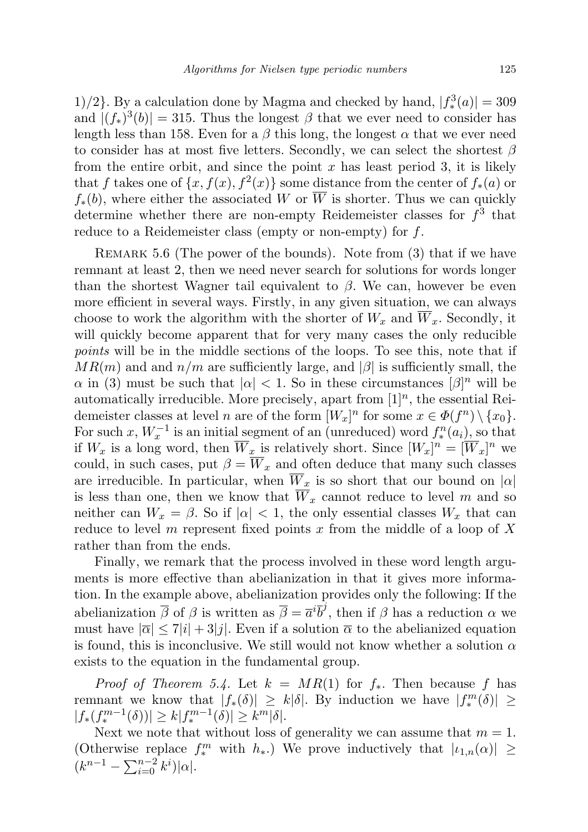1)/2}. By a calculation done by Magma and checked by hand,  $|f_*^3(a)| = 309$ and  $|(f_*)^3(b)| = 315$ . Thus the longest  $\beta$  that we ever need to consider has length less than 158. Even for a  $\beta$  this long, the longest  $\alpha$  that we ever need to consider has at most five letters. Secondly, we can select the shortest  $\beta$ from the entire orbit, and since the point  $x$  has least period 3, it is likely that f takes one of  $\{x, f(x), f^2(x)\}$  some distance from the center of  $f_*(a)$  or  $f_*(b)$ , where either the associated W or  $\overline{W}$  is shorter. Thus we can quickly determine whether there are non-empty Reidemeister classes for  $f^3$  that reduce to a Reidemeister class (empty or non-empty) for f.

REMARK 5.6 (The power of the bounds). Note from (3) that if we have remnant at least 2, then we need never search for solutions for words longer than the shortest Wagner tail equivalent to  $\beta$ . We can, however be even more efficient in several ways. Firstly, in any given situation, we can always choose to work the algorithm with the shorter of  $W_x$  and  $\overline{W}_x$ . Secondly, it will quickly become apparent that for very many cases the only reducible points will be in the middle sections of the loops. To see this, note that if  $MR(m)$  and and  $n/m$  are sufficiently large, and  $|\beta|$  is sufficiently small, the  $\alpha$  in (3) must be such that  $|\alpha| < 1$ . So in these circumstances  $[\beta]^n$  will be automatically irreducible. More precisely, apart from  $[1]^n$ , the essential Reidemeister classes at level *n* are of the form  $[W_x]^n$  for some  $x \in \Phi(f^n) \setminus \{x_0\}.$ For such x,  $W_x^{-1}$  is an initial segment of an (unreduced) word  $f_*^n(a_i)$ , so that if  $W_x$  is a long word, then  $\overline{W}_x$  is relatively short. Since  $[W_x]^n = [\overline{W}_x]^n$  we could, in such cases, put  $\beta = \overline{W}_x$  and often deduce that many such classes are irreducible. In particular, when  $\overline{W}_x$  is so short that our bound on  $|\alpha|$ is less than one, then we know that  $\overline{W}_x$  cannot reduce to level m and so neither can  $W_x = \beta$ . So if  $|\alpha| < 1$ , the only essential classes  $W_x$  that can reduce to level m represent fixed points x from the middle of a loop of  $X$ rather than from the ends.

Finally, we remark that the process involved in these word length arguments is more effective than abelianization in that it gives more information. In the example above, abelianization provides only the following: If the abelianization  $\bar{\beta}$  of  $\beta$  is written as  $\bar{\beta} = \bar{a}^i \bar{b}^j$ , then if  $\beta$  has a reduction  $\alpha$  we must have  $|\overline{\alpha}| \leq 7|i| + 3|j|$ . Even if a solution  $\overline{\alpha}$  to the abelianized equation is found, this is inconclusive. We still would not know whether a solution  $\alpha$ exists to the equation in the fundamental group.

*Proof of Theorem 5.4.* Let  $k = MR(1)$  for  $f_*$ . Then because f has remnant we know that  $|f_*(\delta)| \geq k|\delta|$ . By induction we have  $|f_*^m(\delta)| \geq$  $|f_*(f_*^{m-1}(\delta))| \ge k |f_*^{m-1}(\delta)| \ge k^m |\delta|.$ 

Next we note that without loss of generality we can assume that  $m = 1$ . (Otherwise replace  $f_*^m$  with  $h_*$ .) We prove inductively that  $|\iota_{1,n}(\alpha)| \geq$  $(k^{n-1} - \sum_{i=0}^{n-2} k^{i}) |\alpha|.$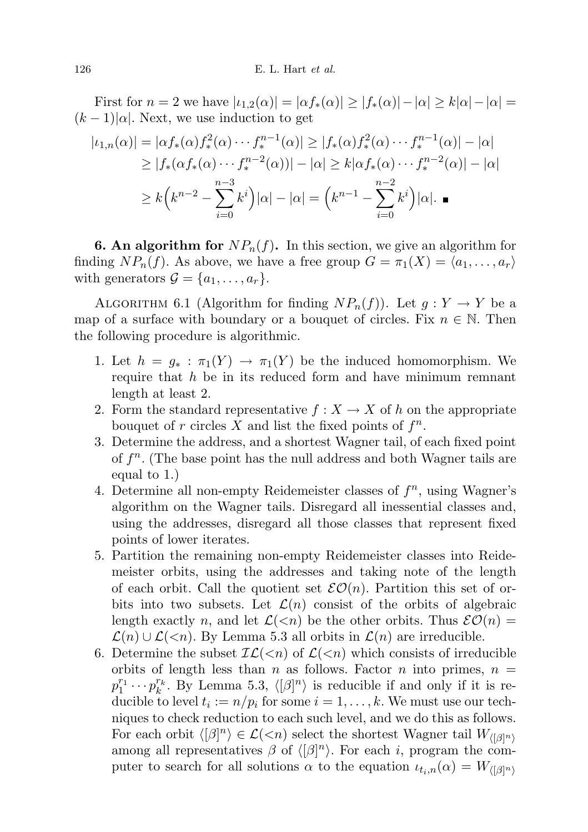First for  $n = 2$  we have  $|\iota_{1,2}(\alpha)| = |\alpha f_*(\alpha)| \ge |f_*(\alpha)| - |\alpha| \ge k |\alpha| - |\alpha| =$  $(k-1)|\alpha|$ . Next, we use induction to get

$$
|t_{1,n}(\alpha)| = |\alpha f_*(\alpha) f_*^2(\alpha) \cdots f_*^{n-1}(\alpha)| \ge |f_*(\alpha) f_*^2(\alpha) \cdots f_*^{n-1}(\alpha)| - |\alpha|
$$
  
\n
$$
\ge |f_*(\alpha f_*(\alpha) \cdots f_*^{n-2}(\alpha))| - |\alpha| \ge k |\alpha f_*(\alpha) \cdots f_*^{n-2}(\alpha)| - |\alpha|
$$
  
\n
$$
\ge k (k^{n-2} - \sum_{i=0}^{n-3} k^i) |\alpha| - |\alpha| = (k^{n-1} - \sum_{i=0}^{n-2} k^i) |\alpha|.
$$

**6. An algorithm for**  $NP_n(f)$ . In this section, we give an algorithm for finding  $NP_n(f)$ . As above, we have a free group  $G = \pi_1(X) = \langle a_1, \ldots, a_r \rangle$ with generators  $\mathcal{G} = \{a_1, \ldots, a_r\}.$ 

ALGORITHM 6.1 (Algorithm for finding  $NP_n(f)$ ). Let  $g: Y \to Y$  be a map of a surface with boundary or a bouquet of circles. Fix  $n \in \mathbb{N}$ . Then the following procedure is algorithmic.

- 1. Let  $h = g_* : \pi_1(Y) \to \pi_1(Y)$  be the induced homomorphism. We require that  $h$  be in its reduced form and have minimum remnant length at least 2.
- 2. Form the standard representative  $f: X \to X$  of h on the appropriate bouquet of r circles  $X$  and list the fixed points of  $f^n$ .
- 3. Determine the address, and a shortest Wagner tail, of each fixed point of  $f<sup>n</sup>$ . (The base point has the null address and both Wagner tails are equal to 1.)
- 4. Determine all non-empty Reidemeister classes of  $f<sup>n</sup>$ , using Wagner's algorithm on the Wagner tails. Disregard all inessential classes and, using the addresses, disregard all those classes that represent fixed points of lower iterates.
- 5. Partition the remaining non-empty Reidemeister classes into Reidemeister orbits, using the addresses and taking note of the length of each orbit. Call the quotient set  $\mathcal{EO}(n)$ . Partition this set of orbits into two subsets. Let  $\mathcal{L}(n)$  consist of the orbits of algebraic length exactly n, and let  $\mathcal{L}(\leq n)$  be the other orbits. Thus  $\mathcal{EO}(n) =$  $\mathcal{L}(n) \cup \mathcal{L}(\leq n)$ . By Lemma 5.3 all orbits in  $\mathcal{L}(n)$  are irreducible.
- 6. Determine the subset  $IL(*n*)$  of  $L(*n*)$  which consists of irreducible orbits of length less than n as follows. Factor n into primes,  $n =$  $p_1^{r_1} \cdots p_k^{r_k}$ . By Lemma 5.3,  $\langle [\beta]^n \rangle$  is reducible if and only if it is reducible to level  $t_i := n/p_i$  for some  $i = 1, ..., k$ . We must use our techniques to check reduction to each such level, and we do this as follows. For each orbit  $\langle [\beta]^n \rangle \in \mathcal{L}(\langle n]$  select the shortest Wagner tail  $W_{([\beta]^n)}$ among all representatives  $\beta$  of  $\langle [\beta]^n \rangle$ . For each i, program the computer to search for all solutions  $\alpha$  to the equation  $\iota_{t_i,n}(\alpha) = W_{\langle [\beta]^n \rangle}$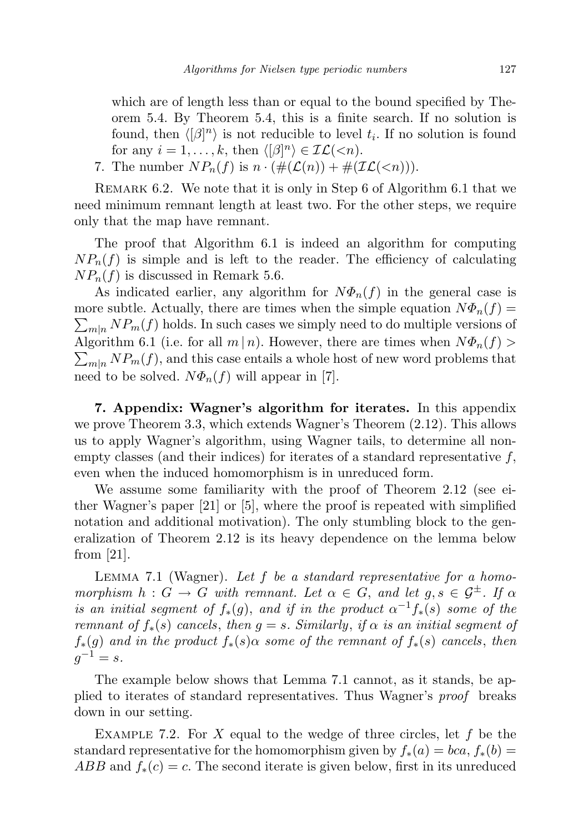which are of length less than or equal to the bound specified by Theorem 5.4. By Theorem 5.4, this is a finite search. If no solution is found, then  $\langle [\beta]^n \rangle$  is not reducible to level  $t_i$ . If no solution is found for any  $i = 1, ..., k$ , then  $\langle [\beta]^n \rangle \in \mathcal{IL}(\langle n]$ .

7. The number  $NP_n(f)$  is  $n \cdot (\#(\mathcal{L}(n)) + \#(\mathcal{IL}(*n*))).$ 

Remark 6.2. We note that it is only in Step 6 of Algorithm 6.1 that we need minimum remnant length at least two. For the other steps, we require only that the map have remnant.

The proof that Algorithm 6.1 is indeed an algorithm for computing  $NP_n(f)$  is simple and is left to the reader. The efficiency of calculating  $NP_n(f)$  is discussed in Remark 5.6.

As indicated earlier, any algorithm for  $N\Phi_n(f)$  in the general case is more subtle. Actually, there are times when the simple equation  $N\Phi_n(f)$  $\sum_{m|n} NP_m(f)$  holds. In such cases we simply need to do multiple versions of Algorithm 6.1 (i.e. for all  $m|n$ ). However, there are times when  $N\Phi_n(f)$  $\sum_{m|n} NP_m(f)$ , and this case entails a whole host of new word problems that need to be solved.  $N\Phi_n(f)$  will appear in [7].

7. Appendix: Wagner's algorithm for iterates. In this appendix we prove Theorem 3.3, which extends Wagner's Theorem (2.12). This allows us to apply Wagner's algorithm, using Wagner tails, to determine all nonempty classes (and their indices) for iterates of a standard representative  $f$ , even when the induced homomorphism is in unreduced form.

We assume some familiarity with the proof of Theorem 2.12 (see either Wagner's paper [21] or [5], where the proof is repeated with simplified notation and additional motivation). The only stumbling block to the generalization of Theorem 2.12 is its heavy dependence on the lemma below from [21].

LEMMA 7.1 (Wagner). Let  $f$  be a standard representative for a homomorphism  $h : G \to G$  with remnant. Let  $\alpha \in G$ , and let  $g, s \in \mathcal{G}^{\pm}$ . If  $\alpha$ is an initial segment of  $f_*(g)$ , and if in the product  $\alpha^{-1}f_*(s)$  some of the remnant of  $f_*(s)$  cancels, then  $g = s$ . Similarly, if  $\alpha$  is an initial segment of  $f_*(g)$  and in the product  $f_*(s)$  as some of the remnant of  $f_*(s)$  cancels, then  $g^{-1} = s.$ 

The example below shows that Lemma 7.1 cannot, as it stands, be applied to iterates of standard representatives. Thus Wagner's proof breaks down in our setting.

EXAMPLE 7.2. For X equal to the wedge of three circles, let  $f$  be the standard representative for the homomorphism given by  $f_*(a) = bca$ ,  $f_*(b) =$  $ABB$  and  $f_*(c) = c$ . The second iterate is given below, first in its unreduced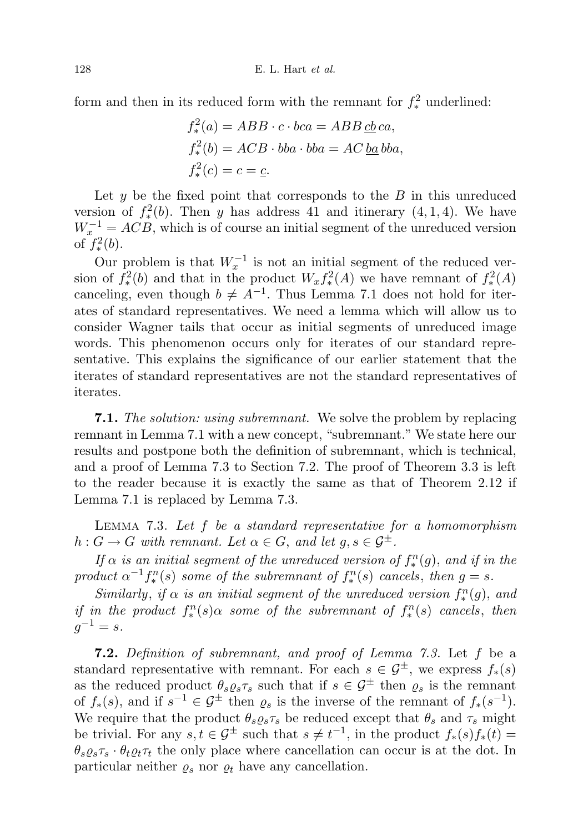form and then in its reduced form with the remnant for  $f_*^2$  underlined:

$$
f_*^2(a) = ABB \cdot c \cdot bca = ABB \underline{cb} \underline{ca},
$$
  
\n
$$
f_*^2(b) = ACB \cdot bba \cdot bba = AC \underline{ba} \underline{b}abba,
$$
  
\n
$$
f_*^2(c) = c = \underline{c}.
$$

Let  $y$  be the fixed point that corresponds to the  $B$  in this unreduced version of  $f^2_*(b)$ . Then y has address 41 and itinerary  $(4,1,4)$ . We have  $W_x^{-1} = ACB$ , which is of course an initial segment of the unreduced version of  $f^2_*(b)$ .

Our problem is that  $W_x^{-1}$  is not an initial segment of the reduced version of  $f^2_*(b)$  and that in the product  $W_x f^2_*(A)$  we have remnant of  $f^2_*(A)$ canceling, even though  $b \neq A^{-1}$ . Thus Lemma 7.1 does not hold for iterates of standard representatives. We need a lemma which will allow us to consider Wagner tails that occur as initial segments of unreduced image words. This phenomenon occurs only for iterates of our standard representative. This explains the significance of our earlier statement that the iterates of standard representatives are not the standard representatives of iterates.

**7.1.** The solution: using subremnant. We solve the problem by replacing remnant in Lemma 7.1 with a new concept, "subremnant." We state here our results and postpone both the definition of subremnant, which is technical, and a proof of Lemma 7.3 to Section 7.2. The proof of Theorem 3.3 is left to the reader because it is exactly the same as that of Theorem 2.12 if Lemma 7.1 is replaced by Lemma 7.3.

LEMMA 7.3. Let  $f$  be a standard representative for a homomorphism  $h: G \to G$  with remnant. Let  $\alpha \in G$ , and let  $g, s \in \mathcal{G}^{\pm}$ .

If  $\alpha$  is an initial segment of the unreduced version of  $f_*^n(g)$ , and if in the product  $\alpha^{-1} f_*^n(s)$  some of the subremnant of  $f_*^n(s)$  cancels, then  $g = s$ .

Similarly, if  $\alpha$  is an initial segment of the unreduced version  $f_*^n(g)$ , and if in the product  $f^{\hat{n}}_*(s)$  a some of the subremnant of  $f^{\hat{n}}_*(s)$  cancels, then  $g^{-1} = s.$ 

7.2. Definition of subremnant, and proof of Lemma 7.3. Let f be a standard representative with remnant. For each  $s \in \mathcal{G}^{\pm}$ , we express  $f_*(s)$ as the reduced product  $\theta_s \varrho_s \tau_s$  such that if  $s \in \mathcal{G}^{\pm}$  then  $\varrho_s$  is the remnant of  $f_*(s)$ , and if  $s^{-1} \in \mathcal{G}^{\pm}$  then  $\varrho_s$  is the inverse of the remnant of  $f_*(s^{-1})$ . We require that the product  $\theta_s \varrho_s \tau_s$  be reduced except that  $\theta_s$  and  $\tau_s$  might be trivial. For any  $s, t \in \mathcal{G}^{\pm}$  such that  $s \neq t^{-1}$ , in the product  $f_*(s) f_*(t) =$  $\theta_s \varrho_s \tau_s \cdot \theta_t \varrho_t \tau_t$  the only place where cancellation can occur is at the dot. In particular neither  $\varrho_s$  nor  $\varrho_t$  have any cancellation.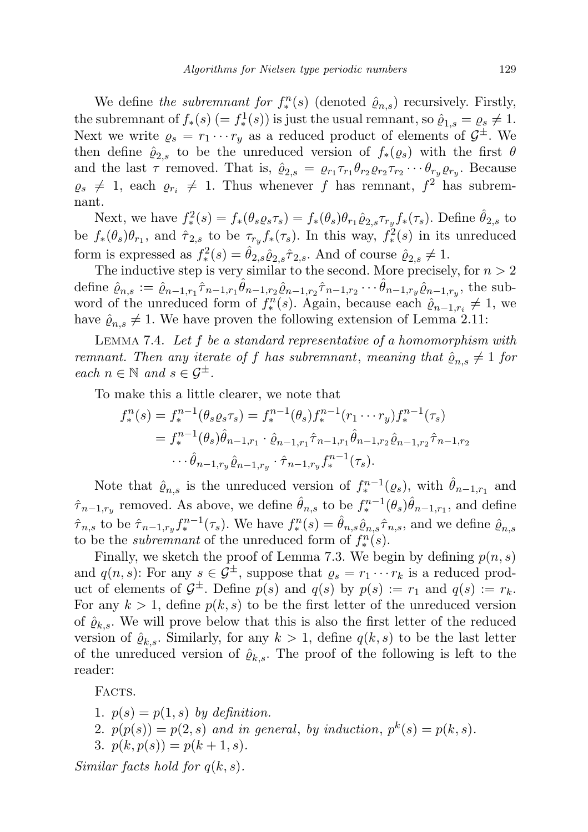We define the subremnant for  $f_*^n(s)$  (denoted  $\hat{\varrho}_{n,s}$ ) recursively. Firstly, the subremnant of  $f_*(s) (= f_*^1(s))$  is just the usual remnant, so  $\hat{\varrho}_{1,s} = \varrho_s \neq 1$ . Next we write  $\rho_s = r_1 \cdots r_y$  as a reduced product of elements of  $\mathcal{G}^{\pm}$ . We then define  $\hat{\varrho}_{2,s}$  to be the unreduced version of  $f_*(\varrho_s)$  with the first  $\theta$ and the last  $\tau$  removed. That is,  $\hat{\varrho}_{2,s} = \varrho_{r_1} \tau_{r_1} \theta_{r_2} \varrho_{r_2} \tau_{r_2} \cdots \theta_{r_y} \varrho_{r_y}$ . Because  $\rho_s \neq 1$ , each  $\rho_{r_i} \neq 1$ . Thus whenever f has remnant,  $f^2$  has subremnant.

Next, we have  $f_*^2(s) = f_*(\theta_s \varrho_s \tau_s) = f_*(\theta_s) \theta_{r_1} \hat{\varrho}_{2,s} \tau_{r_y} f_*(\tau_s)$ . Define  $\hat{\theta}_{2,s}$  to be  $f_*(\theta_s)\theta_{r_1}$ , and  $\hat{\tau}_{2,s}$  to be  $\tau_{r_y}f_*(\tau_s)$ . In this way,  $f_*^2(s)$  in its unreduced form is expressed as  $f^2_*(s) = \hat{\theta}_{2,s} \hat{\varrho}_{2,s} \hat{\tau}_{2,s}$ . And of course  $\hat{\varrho}_{2,s} \neq 1$ .

The inductive step is very similar to the second. More precisely, for  $n > 2$ define  $\hat{\varrho}_{n,s} := \hat{\varrho}_{n-1,r_1} \hat{\tau}_{n-1,r_1} \hat{\theta}_{n-1,r_2} \hat{\varrho}_{n-1,r_2} \hat{\tau}_{n-1,r_2} \cdots \hat{\theta}_{n-1,r_y} \hat{\varrho}_{n-1,r_y}$ , the subword of the unreduced form of  $f_*^n(s)$ . Again, because each  $\hat{\varrho}_{n-1,r_i} \neq 1$ , we have  $\hat{\varrho}_{n,s} \neq 1$ . We have proven the following extension of Lemma 2.11:

LEMMA 7.4. Let  $f$  be a standard representative of a homomorphism with remnant. Then any iterate of f has subremnant, meaning that  $\hat{\varrho}_{n,s} \neq 1$  for each  $n \in \mathbb{N}$  and  $s \in \mathcal{G}^{\pm}$ .

To make this a little clearer, we note that

$$
f_*^n(s) = f_*^{n-1}(\theta_s \varrho_s \tau_s) = f_*^{n-1}(\theta_s) f_*^{n-1}(r_1 \cdots r_y) f_*^{n-1}(\tau_s)
$$
  
=  $f_*^{n-1}(\theta_s) \hat{\theta}_{n-1,r_1} \cdot \hat{\varrho}_{n-1,r_1} \hat{\tau}_{n-1,r_1} \hat{\theta}_{n-1,r_2} \hat{\varrho}_{n-1,r_2} \hat{\tau}_{n-1,r_2}$   
 $\cdots \hat{\theta}_{n-1,r_y} \hat{\varrho}_{n-1,r_y} \cdot \hat{\tau}_{n-1,r_y} f_*^{n-1}(\tau_s).$ 

Note that  $\hat{\varrho}_{n,s}$  is the unreduced version of  $f_*^{n-1}(\varrho_s)$ , with  $\hat{\theta}_{n-1,r_1}$  and  $\hat{\tau}_{n-1,r_y}$  removed. As above, we define  $\hat{\theta}_{n,s}$  to be  $f_*^{n-1}(\theta_s)\hat{\theta}_{n-1,r_1}$ , and define  $\hat{\tau}_{n,s}$  to be  $\hat{\tau}_{n-1,r_y} f_{*}^{n-1}(\tau_s)$ . We have  $f_{*}^{n}(s) = \hat{\theta}_{n,s} \hat{\varrho}_{n,s} \hat{\tau}_{n,s}$ , and we define  $\hat{\varrho}_{n,s}$ to be the *subremnant* of the unreduced form of  $f_*^n(s)$ .

Finally, we sketch the proof of Lemma 7.3. We begin by defining  $p(n, s)$ and  $q(n, s)$ : For any  $s \in \mathcal{G}^{\pm}$ , suppose that  $\varrho_s = r_1 \cdots r_k$  is a reduced product of elements of  $\mathcal{G}^{\pm}$ . Define  $p(s)$  and  $q(s)$  by  $p(s) := r_1$  and  $q(s) := r_k$ . For any  $k > 1$ , define  $p(k, s)$  to be the first letter of the unreduced version of  $\hat{\varrho}_{k,s}$ . We will prove below that this is also the first letter of the reduced version of  $\hat{\varrho}_{k,s}$ . Similarly, for any  $k > 1$ , define  $q(k, s)$  to be the last letter of the unreduced version of  $\hat{\varrho}_{k,s}$ . The proof of the following is left to the reader:

FACTS.

1.  $p(s) = p(1, s)$  by definition.

2.  $p(p(s)) = p(2, s)$  and in general, by induction,  $p^{k}(s) = p(k, s)$ .

3. 
$$
p(k, p(s)) = p(k+1, s)
$$
.

Similar facts hold for  $q(k, s)$ .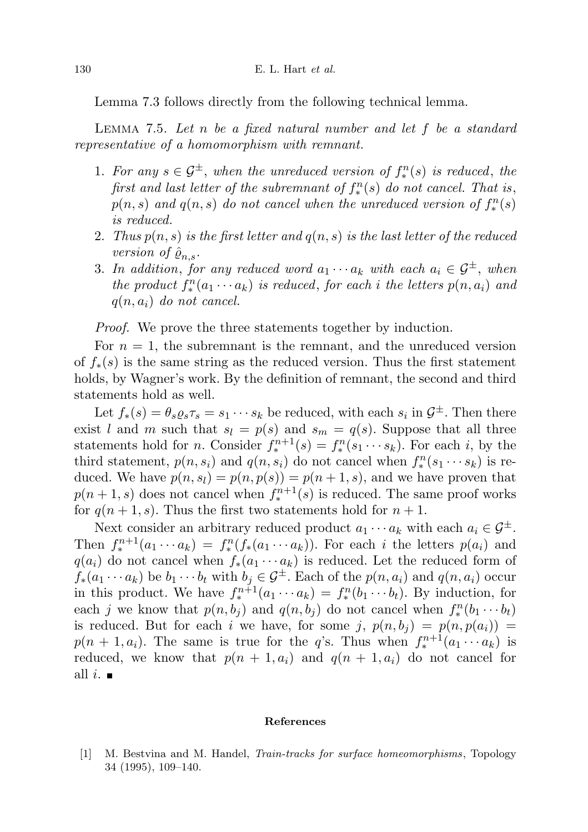Lemma 7.3 follows directly from the following technical lemma.

Lemma 7.5. Let n be a fixed natural number and let f be a standard representative of a homomorphism with remnant.

- 1. For any  $s \in \mathcal{G}^{\pm}$ , when the unreduced version of  $f_*^n(s)$  is reduced, the first and last letter of the subremnant of  $f_*^n(s)$  do not cancel. That is,  $p(n, s)$  and  $q(n, s)$  do not cancel when the unreduced version of  $f_*^n(s)$ is reduced.
- 2. Thus  $p(n, s)$  is the first letter and  $q(n, s)$  is the last letter of the reduced version of  $\hat{\varrho}_{n,s}$ .
- 3. In addition, for any reduced word  $a_1 \cdots a_k$  with each  $a_i \in \mathcal{G}^{\pm}$ , when the product  $f_*^n(a_1 \cdots a_k)$  is reduced, for each i the letters  $p(n, a_i)$  and  $q(n, a_i)$  do not cancel.

Proof. We prove the three statements together by induction.

For  $n = 1$ , the subremnant is the remnant, and the unreduced version of  $f_*(s)$  is the same string as the reduced version. Thus the first statement holds, by Wagner's work. By the definition of remnant, the second and third statements hold as well.

Let  $f_*(s) = \theta_s \varrho_s \tau_s = s_1 \cdots s_k$  be reduced, with each  $s_i$  in  $\mathcal{G}^{\pm}$ . Then there exist l and m such that  $s_l = p(s)$  and  $s_m = q(s)$ . Suppose that all three statements hold for *n*. Consider  $f_*^{n+1}(s) = f_*^n(s_1 \cdots s_k)$ . For each *i*, by the third statement,  $p(n, s_i)$  and  $q(n, s_i)$  do not cancel when  $f_*^n(s_1 \cdots s_k)$  is reduced. We have  $p(n, s_l) = p(n, p(s)) = p(n + 1, s)$ , and we have proven that  $p(n+1, s)$  does not cancel when  $f_*^{n+1}(s)$  is reduced. The same proof works for  $q(n+1, s)$ . Thus the first two statements hold for  $n+1$ .

Next consider an arbitrary reduced product  $a_1 \cdots a_k$  with each  $a_i \in \mathcal{G}^{\pm}$ . Then  $f_*^{n+1}(a_1 \cdots a_k) = f_*^n(f_*(a_1 \cdots a_k))$ . For each i the letters  $p(a_i)$  and  $q(a_i)$  do not cancel when  $f_*(a_1 \cdots a_k)$  is reduced. Let the reduced form of  $f_*(a_1 \cdots a_k)$  be  $b_1 \cdots b_t$  with  $b_j \in \mathcal{G}^{\pm}$ . Each of the  $p(n, a_i)$  and  $q(n, a_i)$  occur in this product. We have  $f_*^{n+1}(a_1 \cdots a_k) = f_*^n(b_1 \cdots b_t)$ . By induction, for each j we know that  $p(n, b_j)$  and  $q(n, b_j)$  do not cancel when  $f_*^n(b_1 \cdots b_t)$ is reduced. But for each i we have, for some j,  $p(n, b_i) = p(n, p(a_i))$  $p(n+1, a_i)$ . The same is true for the q's. Thus when  $f_*^{n+1}(a_1 \cdots a_k)$  is reduced, we know that  $p(n + 1, a_i)$  and  $q(n + 1, a_i)$  do not cancel for all *i*.  $\blacksquare$ 

## References

[1] M. Bestvina and M. Handel, Train-tracks for surface homeomorphisms, Topology 34 (1995), 109–140.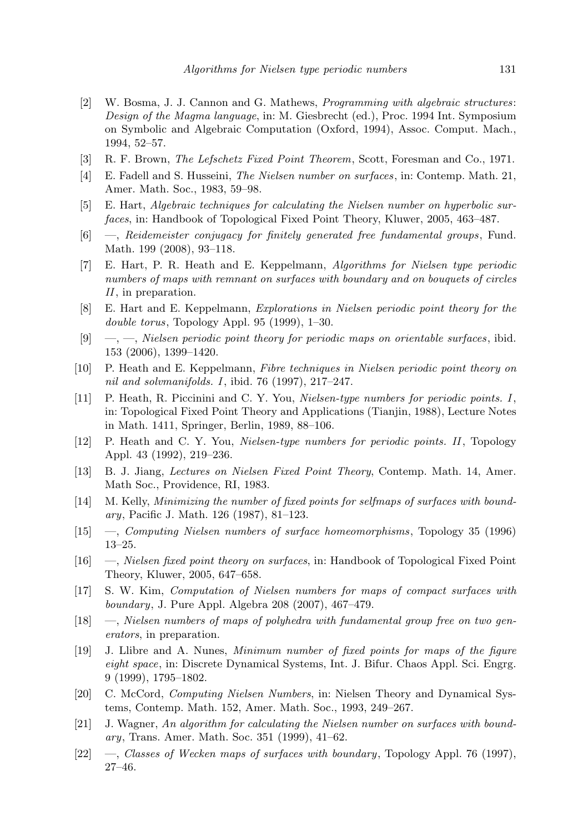- [2] W. Bosma, J. J. Cannon and G. Mathews, Programming with algebraic structures: Design of the Magma language, in: M. Giesbrecht (ed.), Proc. 1994 Int. Symposium on Symbolic and Algebraic Computation (Oxford, 1994), Assoc. Comput. Mach., 1994, 52–57.
- [3] R. F. Brown, The Lefschetz Fixed Point Theorem, Scott, Foresman and Co., 1971.
- [4] E. Fadell and S. Husseini, The Nielsen number on surfaces, in: Contemp. Math. 21, Amer. Math. Soc., 1983, 59–98.
- [5] E. Hart, Algebraic techniques for calculating the Nielsen number on hyperbolic surfaces, in: Handbook of Topological Fixed Point Theory, Kluwer, 2005, 463–487.
- [6] —, Reidemeister conjugacy for finitely generated free fundamental groups , Fund. Math. 199 (2008), 93–118.
- [7] E. Hart, P. R. Heath and E. Keppelmann, Algorithms for Nielsen type periodic numbers of maps with remnant on surfaces with boundary and on bouquets of circles II, in preparation.
- [8] E. Hart and E. Keppelmann, Explorations in Nielsen periodic point theory for the double torus, Topology Appl. 95 (1999), 1–30.
- $[9] \quad -,-$ , Nielsen periodic point theory for periodic maps on orientable surfaces, ibid. 153 (2006), 1399–1420.
- [10] P. Heath and E. Keppelmann, Fibre techniques in Nielsen periodic point theory on nil and solvmanifolds. I, ibid. 76 (1997), 217–247.
- [11] P. Heath, R. Piccinini and C. Y. You, Nielsen-type numbers for periodic points. I, in: Topological Fixed Point Theory and Applications (Tianjin, 1988), Lecture Notes in Math. 1411, Springer, Berlin, 1989, 88–106.
- [12] P. Heath and C. Y. You, Nielsen-type numbers for periodic points. II, Topology Appl. 43 (1992), 219–236.
- [13] B. J. Jiang, Lectures on Nielsen Fixed Point Theory, Contemp. Math. 14, Amer. Math Soc., Providence, RI, 1983.
- [14] M. Kelly, Minimizing the number of fixed points for selfmaps of surfaces with boundary, Pacific J. Math. 126 (1987), 81–123.
- [15] —, Computing Nielsen numbers of surface homeomorphisms , Topology 35 (1996) 13–25.
- [16] —, Nielsen fixed point theory on surfaces, in: Handbook of Topological Fixed Point Theory, Kluwer, 2005, 647–658.
- [17] S. W. Kim, Computation of Nielsen numbers for maps of compact surfaces with boundary, J. Pure Appl. Algebra 208 (2007), 467–479.
- [18] —, Nielsen numbers of maps of polyhedra with fundamental group free on two generators, in preparation.
- [19] J. Llibre and A. Nunes, Minimum number of fixed points for maps of the figure eight space, in: Discrete Dynamical Systems, Int. J. Bifur. Chaos Appl. Sci. Engrg. 9 (1999), 1795–1802.
- [20] C. McCord, Computing Nielsen Numbers, in: Nielsen Theory and Dynamical Systems, Contemp. Math. 152, Amer. Math. Soc., 1993, 249–267.
- [21] J. Wagner, An algorithm for calculating the Nielsen number on surfaces with boundary, Trans. Amer. Math. Soc. 351 (1999), 41–62.
- [22] —, Classes of Wecken maps of surfaces with boundary, Topology Appl. 76 (1997), 27–46.